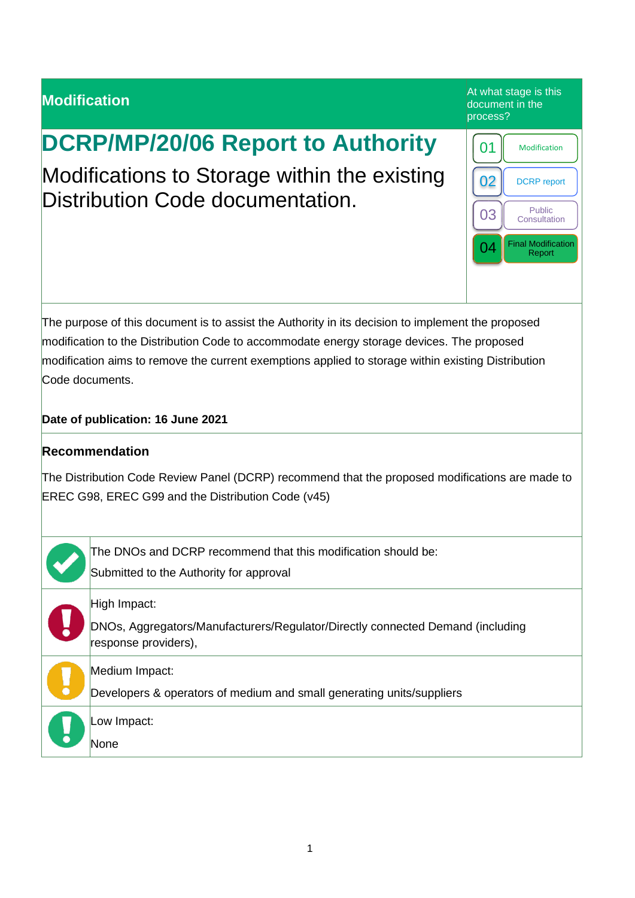# **Modification** At what stage is this and the control of the control of the control of the control of the control of the control of the control of the control of the control of the control of the control of the control of t document in the process? **DCRP/MP/20/06 Report to Authority** Modifications to Storage within the existing Distribution Code documentation. The purpose of this document is to assist the Authority in its decision to implement the proposed modification to the Distribution Code to accommodate energy storage devices. The proposed modification aims to remove the current exemptions applied to storage within existing Distribution Code documents. **Date of publication: 16 June 2021 Recommendation** The Distribution Code Review Panel (DCRP) recommend that the proposed modifications are made to EREC G98, EREC G99 and the Distribution Code (v45) The DNOs and DCRP recommend that this modification should be: Submitted to the Authority for approval High Impact: DNOs, Aggregators/Manufacturers/Regulator/Directly connected Demand (including response providers), Medium Impact: Developers & operators of medium and small generating units/suppliers Low Impact: **None** 01 | Modification 02 | DCRP report 03 Consultation 04 Final Modification Report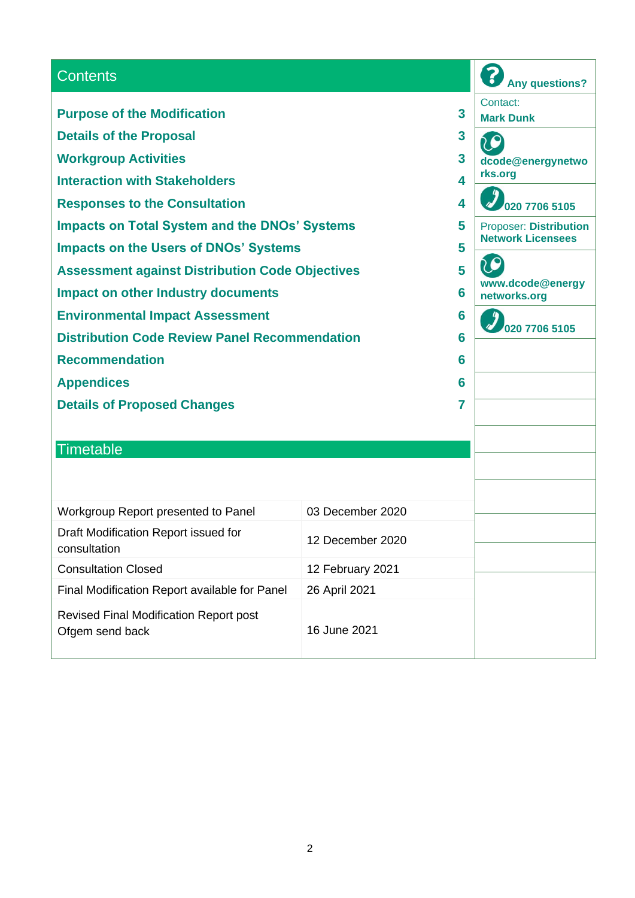| <b>Contents</b>                                                  |                  | <b>Any questions?</b> |                                                           |
|------------------------------------------------------------------|------------------|-----------------------|-----------------------------------------------------------|
| <b>Purpose of the Modification</b>                               |                  | 3                     | Contact:<br><b>Mark Dunk</b>                              |
| <b>Details of the Proposal</b>                                   |                  | 3                     |                                                           |
| <b>Workgroup Activities</b>                                      |                  | 3                     | dcode@energynetwo                                         |
| <b>Interaction with Stakeholders</b>                             |                  | 4                     | rks.org                                                   |
| 4<br><b>Responses to the Consultation</b>                        |                  |                       | 020 7706 5105                                             |
| <b>Impacts on Total System and the DNOs' Systems</b><br>5        |                  |                       | <b>Proposer: Distribution</b><br><b>Network Licensees</b> |
| <b>Impacts on the Users of DNOs' Systems</b>                     |                  | 5                     |                                                           |
| 5<br><b>Assessment against Distribution Code Objectives</b>      |                  |                       |                                                           |
| <b>Impact on other Industry documents</b>                        |                  | 6                     | www.dcode@energy<br>networks.org                          |
| <b>Environmental Impact Assessment</b>                           |                  | 6                     |                                                           |
| <b>Distribution Code Review Panel Recommendation</b>             |                  | 6                     | 020 7706 5105                                             |
| <b>Recommendation</b>                                            |                  | 6                     |                                                           |
| <b>Appendices</b>                                                |                  | 6                     |                                                           |
| <b>Details of Proposed Changes</b>                               |                  | 7                     |                                                           |
|                                                                  |                  |                       |                                                           |
| <b>Timetable</b>                                                 |                  |                       |                                                           |
|                                                                  |                  |                       |                                                           |
|                                                                  |                  |                       |                                                           |
| Workgroup Report presented to Panel                              | 03 December 2020 |                       |                                                           |
| Draft Modification Report issued for<br>consultation             | 12 December 2020 |                       |                                                           |
| <b>Consultation Closed</b>                                       | 12 February 2021 |                       |                                                           |
| Final Modification Report available for Panel                    | 26 April 2021    |                       |                                                           |
| <b>Revised Final Modification Report post</b><br>Ofgem send back | 16 June 2021     |                       |                                                           |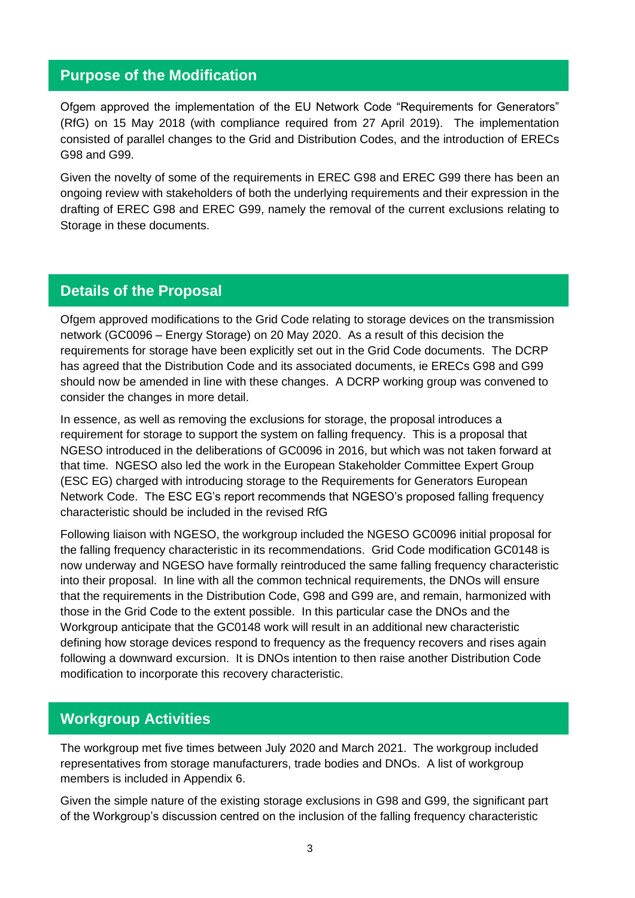### **Purpose of the Modification**

Ofgem approved the implementation of the EU Network Code "Requirements for Generators" (RfG) on 15 May 2018 (with compliance required from 27 April 2019). The implementation consisted of parallel changes to the Grid and Distribution Codes, and the introduction of ERECs G98 and G99.

Given the novelty of some of the requirements in EREC G98 and EREC G99 there has been an ongoing review with stakeholders of both the underlying requirements and their expression in the drafting of EREC G98 and EREC G99, namely the removal of the current exclusions relating to Storage in these documents.

### **Details of the Proposal**

Ofgem approved modifications to the Grid Code relating to storage devices on the transmission network (GC0096 – Energy Storage) on 20 May 2020. As a result of this decision the requirements for storage have been explicitly set out in the Grid Code documents. The DCRP has agreed that the Distribution Code and its associated documents, ie ERECs G98 and G99 should now be amended in line with these changes. A DCRP working group was convened to consider the changes in more detail.

In essence, as well as removing the exclusions for storage, the proposal introduces a requirement for storage to support the system on falling frequency. This is a proposal that NGESO introduced in the deliberations of GC0096 in 2016, but which was not taken forward at that time. NGESO also led the work in the European Stakeholder Committee Expert Group (ESC EG) charged with introducing storage to the Requirements for Generators European Network Code. The ESC EG's report recommends that NGESO's proposed falling frequency characteristic should be included in the revised RfG

Following liaison with NGESO, the workgroup included the NGESO GC0096 initial proposal for the falling frequency characteristic in its recommendations. Grid Code modification GC0148 is now underway and NGESO have formally reintroduced the same falling frequency characteristic into their proposal. In line with all the common technical requirements, the DNOs will ensure that the requirements in the Distribution Code, G98 and G99 are, and remain, harmonized with those in the Grid Code to the extent possible. In this particular case the DNOs and the Workgroup anticipate that the GC0148 work will result in an additional new characteristic defining how storage devices respond to frequency as the frequency recovers and rises again following a downward excursion. It is DNOs intention to then raise another Distribution Code modification to incorporate this recovery characteristic.

### **Workgroup Activities**

The workgroup met five times between July 2020 and March 2021. The workgroup included representatives from storage manufacturers, trade bodies and DNOs. A list of workgroup members is included in Appendix 6.

Given the simple nature of the existing storage exclusions in G98 and G99, the significant part of the Workgroup's discussion centred on the inclusion of the falling frequency characteristic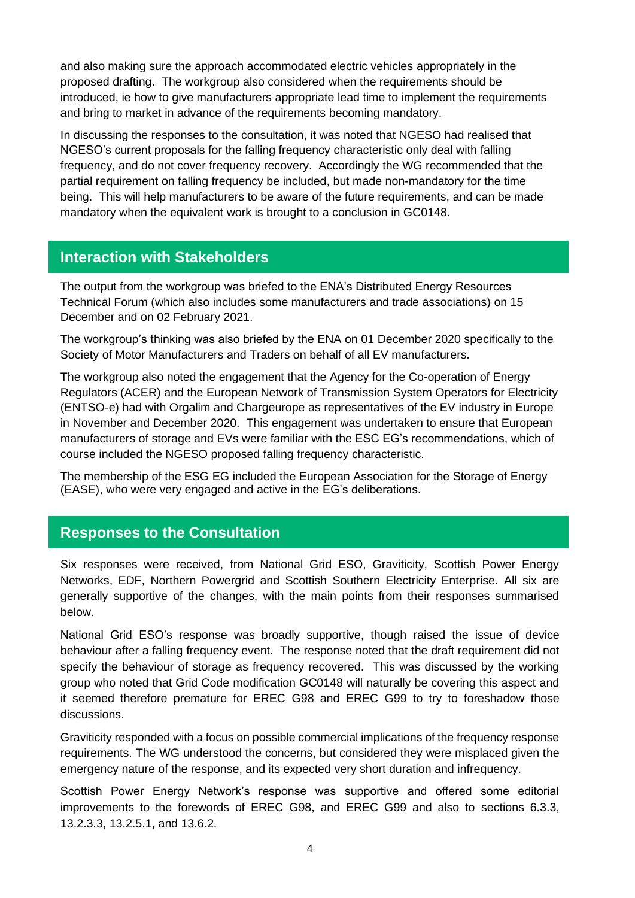and also making sure the approach accommodated electric vehicles appropriately in the proposed drafting. The workgroup also considered when the requirements should be introduced, ie how to give manufacturers appropriate lead time to implement the requirements and bring to market in advance of the requirements becoming mandatory.

In discussing the responses to the consultation, it was noted that NGESO had realised that NGESO's current proposals for the falling frequency characteristic only deal with falling frequency, and do not cover frequency recovery. Accordingly the WG recommended that the partial requirement on falling frequency be included, but made non-mandatory for the time being. This will help manufacturers to be aware of the future requirements, and can be made mandatory when the equivalent work is brought to a conclusion in GC0148.

### **Interaction with Stakeholders**

The output from the workgroup was briefed to the ENA's Distributed Energy Resources Technical Forum (which also includes some manufacturers and trade associations) on 15 December and on 02 February 2021.

The workgroup's thinking was also briefed by the ENA on 01 December 2020 specifically to the Society of Motor Manufacturers and Traders on behalf of all EV manufacturers.

The workgroup also noted the engagement that the Agency for the Co-operation of Energy Regulators (ACER) and the European Network of Transmission System Operators for Electricity (ENTSO-e) had with Orgalim and Chargeurope as representatives of the EV industry in Europe in November and December 2020. This engagement was undertaken to ensure that European manufacturers of storage and EVs were familiar with the ESC EG's recommendations, which of course included the NGESO proposed falling frequency characteristic.

The membership of the ESG EG included the European Association for the Storage of Energy (EASE), who were very engaged and active in the EG's deliberations.

### **Responses to the Consultation**

Six responses were received, from National Grid ESO, Graviticity, Scottish Power Energy Networks, EDF, Northern Powergrid and Scottish Southern Electricity Enterprise. All six are generally supportive of the changes, with the main points from their responses summarised below.

National Grid ESO's response was broadly supportive, though raised the issue of device behaviour after a falling frequency event. The response noted that the draft requirement did not specify the behaviour of storage as frequency recovered. This was discussed by the working group who noted that Grid Code modification GC0148 will naturally be covering this aspect and it seemed therefore premature for EREC G98 and EREC G99 to try to foreshadow those discussions.

Graviticity responded with a focus on possible commercial implications of the frequency response requirements. The WG understood the concerns, but considered they were misplaced given the emergency nature of the response, and its expected very short duration and infrequency.

Scottish Power Energy Network's response was supportive and offered some editorial improvements to the forewords of EREC G98, and EREC G99 and also to sections 6.3.3, 13.2.3.3, 13.2.5.1, and 13.6.2.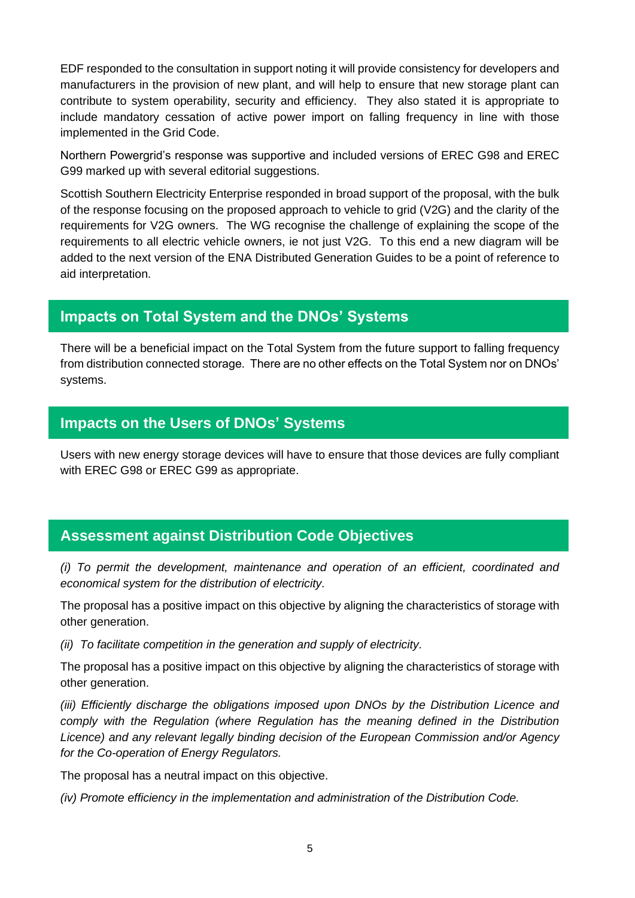EDF responded to the consultation in support noting it will provide consistency for developers and manufacturers in the provision of new plant, and will help to ensure that new storage plant can contribute to system operability, security and efficiency. They also stated it is appropriate to include mandatory cessation of active power import on falling frequency in line with those implemented in the Grid Code.

Northern Powergrid's response was supportive and included versions of EREC G98 and EREC G99 marked up with several editorial suggestions.

Scottish Southern Electricity Enterprise responded in broad support of the proposal, with the bulk of the response focusing on the proposed approach to vehicle to grid (V2G) and the clarity of the requirements for V2G owners. The WG recognise the challenge of explaining the scope of the requirements to all electric vehicle owners, ie not just V2G. To this end a new diagram will be added to the next version of the ENA Distributed Generation Guides to be a point of reference to aid interpretation.

### **Impacts on Total System and the DNOs' Systems**

There will be a beneficial impact on the Total System from the future support to falling frequency from distribution connected storage. There are no other effects on the Total System nor on DNOs' systems.

### **Impacts on the Users of DNOs' Systems**

Users with new energy storage devices will have to ensure that those devices are fully compliant with EREC G98 or EREC G99 as appropriate.

### **Assessment against Distribution Code Objectives**

*(i) To permit the development, maintenance and operation of an efficient, coordinated and economical system for the distribution of electricity.*

The proposal has a positive impact on this objective by aligning the characteristics of storage with other generation.

*(ii) To facilitate competition in the generation and supply of electricity.*

The proposal has a positive impact on this objective by aligning the characteristics of storage with other generation.

*(iii) Efficiently discharge the obligations imposed upon DNOs by the Distribution Licence and comply with the Regulation (where Regulation has the meaning defined in the Distribution Licence) and any relevant legally binding decision of the European Commission and/or Agency for the Co-operation of Energy Regulators.*

The proposal has a neutral impact on this objective.

*(iv) Promote efficiency in the implementation and administration of the Distribution Code.*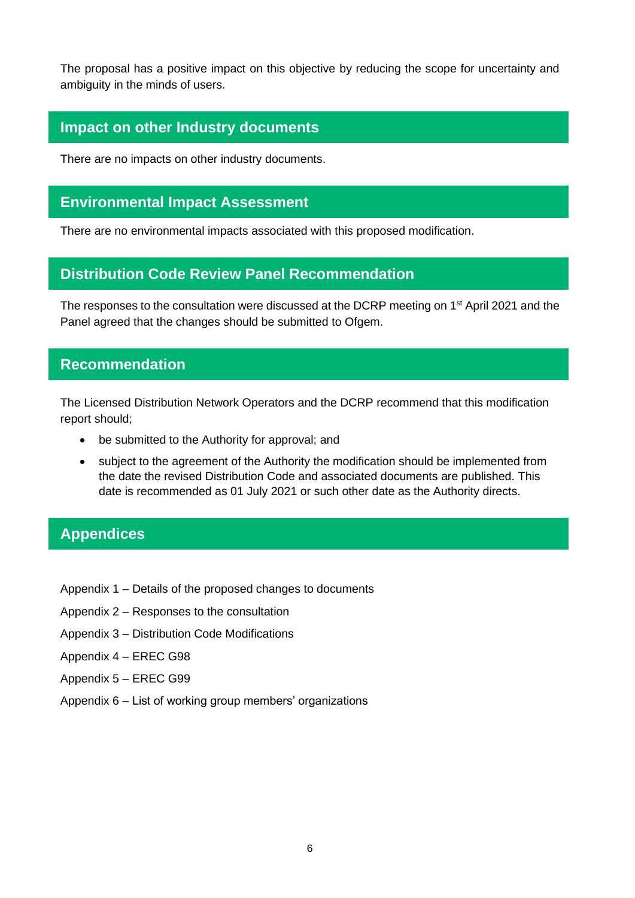The proposal has a positive impact on this objective by reducing the scope for uncertainty and ambiguity in the minds of users.

### **Impact on other Industry documents**

There are no impacts on other industry documents.

### **Environmental Impact Assessment**

There are no environmental impacts associated with this proposed modification.

### **Distribution Code Review Panel Recommendation**

The responses to the consultation were discussed at the DCRP meeting on 1<sup>st</sup> April 2021 and the Panel agreed that the changes should be submitted to Ofgem.

### **Recommendation**

The Licensed Distribution Network Operators and the DCRP recommend that this modification report should;

- be submitted to the Authority for approval: and
- subject to the agreement of the Authority the modification should be implemented from the date the revised Distribution Code and associated documents are published. This date is recommended as 01 July 2021 or such other date as the Authority directs.

### **Appendices**

- Appendix 1 Details of the proposed changes to documents
- Appendix 2 Responses to the consultation
- Appendix 3 Distribution Code Modifications
- Appendix 4 EREC G98
- Appendix 5 EREC G99
- Appendix 6 List of working group members' organizations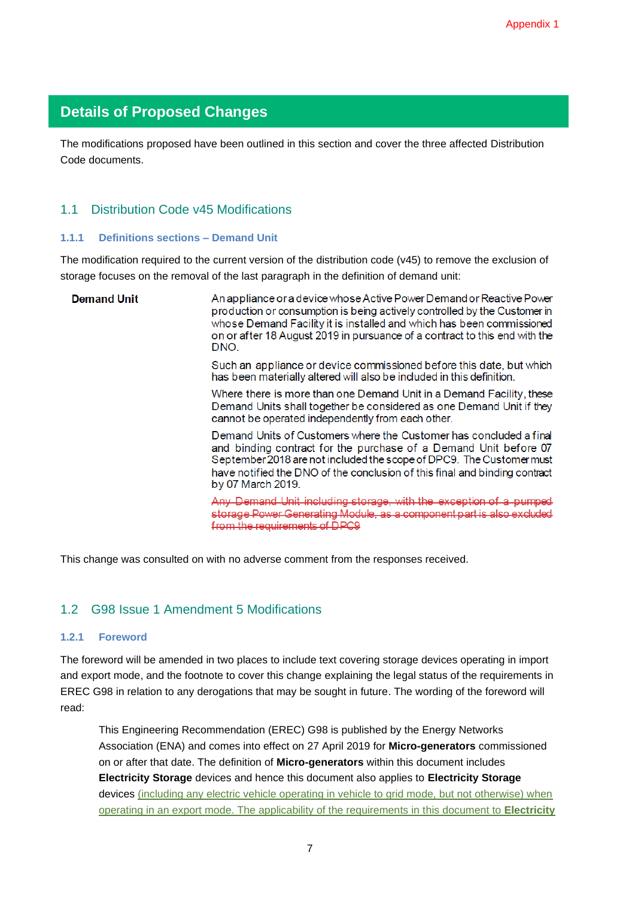### **Details of Proposed Changes**

The modifications proposed have been outlined in this section and cover the three affected Distribution Code documents.

#### 1.1 Distribution Code v45 Modifications

#### **1.1.1 Definitions sections – Demand Unit**

The modification required to the current version of the distribution code (v45) to remove the exclusion of storage focuses on the removal of the last paragraph in the definition of demand unit:

| <b>Demand Unit</b> | An appliance or a device whose Active Power Demand or Reactive Power<br>production or consumption is being actively controlled by the Customer in<br>whose Demand Facility it is installed and which has been commissioned<br>on or after 18 August 2019 in pursuance of a contract to this end with the<br>DNO.  |
|--------------------|-------------------------------------------------------------------------------------------------------------------------------------------------------------------------------------------------------------------------------------------------------------------------------------------------------------------|
|                    | Such an appliance or device commissioned before this date, but which<br>has been materially altered will also be included in this definition.                                                                                                                                                                     |
|                    | Where there is more than one Demand Unit in a Demand Facility, these<br>Demand Units shall together be considered as one Demand Unit if they<br>cannot be operated independently from each other.                                                                                                                 |
|                    | Demand Units of Customers where the Customer has concluded a final<br>and binding contract for the purchase of a Demand Unit before 07<br>September 2018 are not included the scope of DPC9. The Customer must<br>have notified the DNO of the conclusion of this final and binding contract<br>by 07 March 2019. |
|                    | Any Demand Unit including storage, with the exception of a pumped<br>storage Power Generating Module, as a component part is also excluded<br>from the requirements of DPC9                                                                                                                                       |

This change was consulted on with no adverse comment from the responses received.

#### 1.2 G98 Issue 1 Amendment 5 Modifications

#### **1.2.1 Foreword**

The foreword will be amended in two places to include text covering storage devices operating in import and export mode, and the footnote to cover this change explaining the legal status of the requirements in EREC G98 in relation to any derogations that may be sought in future. The wording of the foreword will read:

This Engineering Recommendation (EREC) G98 is published by the Energy Networks Association (ENA) and comes into effect on 27 April 2019 for **Micro-generators** commissioned on or after that date. The definition of **Micro-generators** within this document includes **Electricity Storage** devices and hence this document also applies to **Electricity Storage**  devices (including any electric vehicle operating in vehicle to grid mode, but not otherwise) when operating in an export mode. The applicability of the requirements in this document to **Electricity**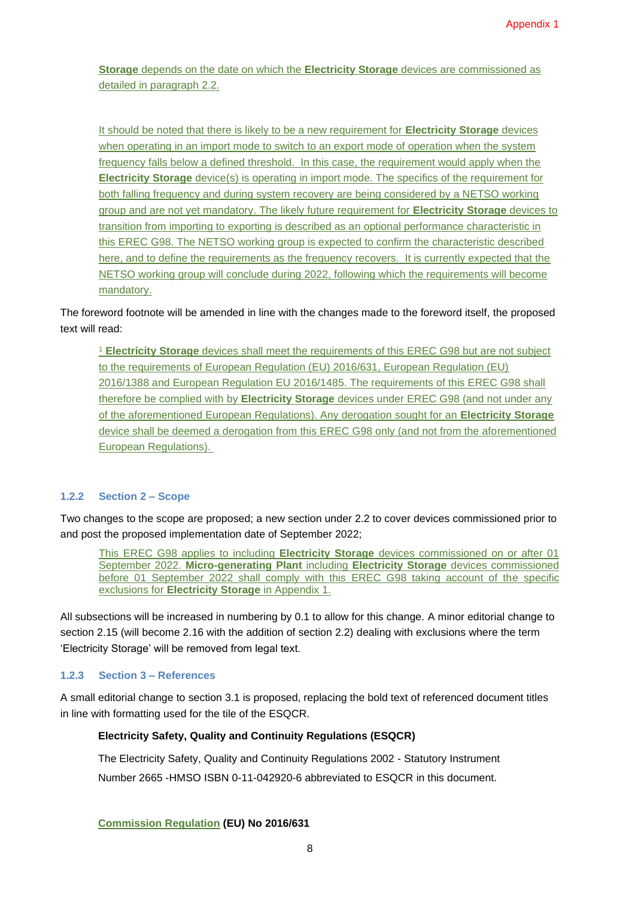**Storage** depends on the date on which the **Electricity Storage** devices are commissioned as detailed in paragraph 2.2.

It should be noted that there is likely to be a new requirement for **Electricity Storage** devices when operating in an import mode to switch to an export mode of operation when the system frequency falls below a defined threshold. In this case, the requirement would apply when the **Electricity Storage** device(s) is operating in import mode. The specifics of the requirement for both falling frequency and during system recovery are being considered by a NETSO working group and are not yet mandatory. The likely future requirement for **Electricity Storage** devices to transition from importing to exporting is described as an optional performance characteristic in this EREC G98. The NETSO working group is expected to confirm the characteristic described here, and to define the requirements as the frequency recovers. It is currently expected that the NETSO working group will conclude during 2022, following which the requirements will become mandatory.

The foreword footnote will be amended in line with the changes made to the foreword itself, the proposed text will read:

<sup>1</sup> **Electricity Storage** devices shall meet the requirements of this EREC G98 but are not subject to the requirements of European Regulation (EU) 2016/631, European Regulation (EU) 2016/1388 and European Regulation EU 2016/1485. The requirements of this EREC G98 shall therefore be complied with by **Electricity Storage** devices under EREC G98 (and not under any of the aforementioned European Regulations). Any derogation sought for an **Electricity Storage**  device shall be deemed a derogation from this EREC G98 only (and not from the aforementioned European Regulations).

#### **1.2.2 Section 2 – Scope**

Two changes to the scope are proposed; a new section under 2.2 to cover devices commissioned prior to and post the proposed implementation date of September 2022;

This EREC G98 applies to including **Electricity Storage** devices commissioned on or after 01 September 2022. **Micro-generating Plant** including **Electricity Storage** devices commissioned before 01 September 2022 shall comply with this EREC G98 taking account of the specific exclusions for **Electricity Storage** in Appendix 1.

All subsections will be increased in numbering by 0.1 to allow for this change. A minor editorial change to section 2.15 (will become 2.16 with the addition of section 2.2) dealing with exclusions where the term 'Electricity Storage' will be removed from legal text.

#### **1.2.3 Section 3 – References**

A small editorial change to section 3.1 is proposed, replacing the bold text of referenced document titles in line with formatting used for the tile of the ESQCR.

#### **Electricity Safety, Quality and Continuity Regulations (ESQCR)**

The Electricity Safety, Quality and Continuity Regulations 2002 - Statutory Instrument Number 2665 -HMSO ISBN 0-11-042920-6 abbreviated to ESQCR in this document.

**Commission Regulation (EU) No 2016/631**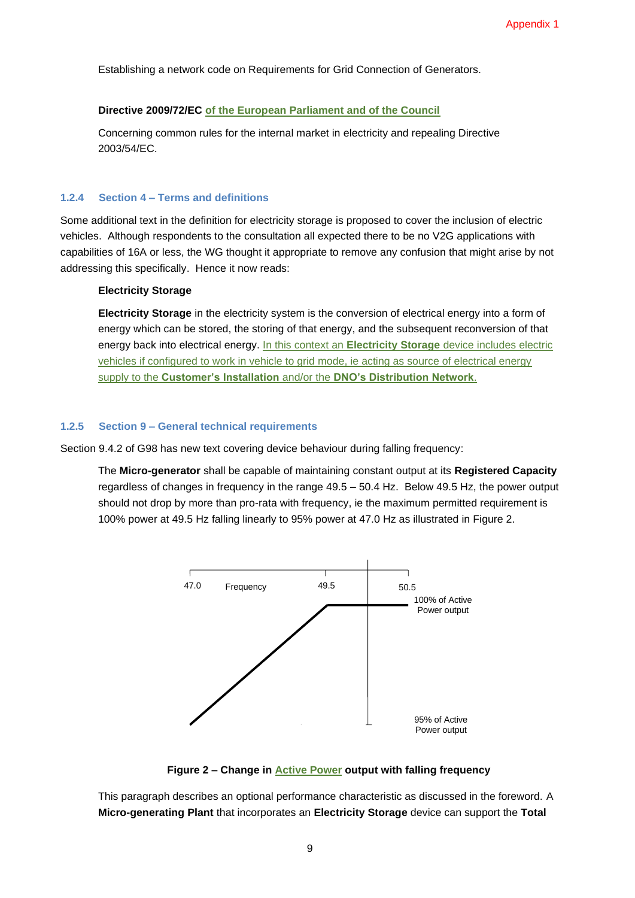Establishing a network code on Requirements for Grid Connection of Generators.

#### **Directive 2009/72/EC of the European Parliament and of the Council**

Concerning common rules for the internal market in electricity and repealing Directive 2003/54/EC.

#### **1.2.4 Section 4 – Terms and definitions**

Some additional text in the definition for electricity storage is proposed to cover the inclusion of electric vehicles. Although respondents to the consultation all expected there to be no V2G applications with capabilities of 16A or less, the WG thought it appropriate to remove any confusion that might arise by not addressing this specifically. Hence it now reads:

#### **Electricity Storage**

**Electricity Storage** in the electricity system is the conversion of electrical energy into a form of energy which can be stored, the storing of that energy, and the subsequent reconversion of that energy back into electrical energy. In this context an **Electricity Storage** device includes electric vehicles if configured to work in vehicle to grid mode, ie acting as source of electrical energy supply to the **Customer's Installation** and/or the **DNO's Distribution Network**.

#### **1.2.5 Section 9 – General technical requirements**

Section 9.4.2 of G98 has new text covering device behaviour during falling frequency:

The **Micro-generator** shall be capable of maintaining constant output at its **Registered Capacity** regardless of changes in frequency in the range 49.5 – 50.4 Hz. Below 49.5 Hz, the power output should not drop by more than pro-rata with frequency, ie the maximum permitted requirement is 100% power at 49.5 Hz falling linearly to 95% power at 47.0 Hz as illustrated in Figure 2.



**Figure 2 – Change in Active Power output with falling frequency**

This paragraph describes an optional performance characteristic as discussed in the foreword. A **Micro-generating Plant** that incorporates an **Electricity Storage** device can support the **Total**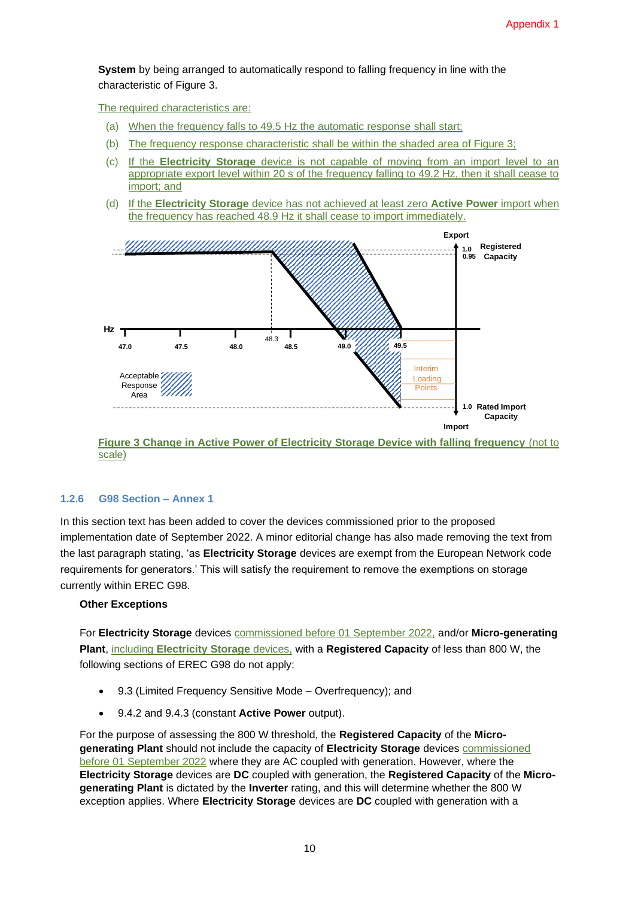**System** by being arranged to automatically respond to falling frequency in line with the characteristic of Figure 3.

The required characteristics are:

- (a) When the frequency falls to 49.5 Hz the automatic response shall start;
- (b) The frequency response characteristic shall be within the shaded area of Figure 3;
- (c) If the **Electricity Storage** device is not capable of moving from an import level to an appropriate export level within 20 s of the frequency falling to 49.2 Hz, then it shall cease to import; and
- (d) If the **Electricity Storage** device has not achieved at least zero **Active Power** import when the frequency has reached 48.9 Hz it shall cease to import immediately.



scale)

#### **1.2.6 G98 Section – Annex 1**

In this section text has been added to cover the devices commissioned prior to the proposed implementation date of September 2022. A minor editorial change has also made removing the text from the last paragraph stating, 'as **Electricity Storage** devices are exempt from the European Network code requirements for generators.' This will satisfy the requirement to remove the exemptions on storage currently within EREC G98.

#### **Other Exceptions**

For **Electricity Storage** devices commissioned before 01 September 2022, and/or **Micro-generating Plant**, including **Electricity Storage** devices, with a **Registered Capacity** of less than 800 W, the following sections of EREC G98 do not apply:

- 9.3 (Limited Frequency Sensitive Mode Overfrequency); and
- 9.4.2 and 9.4.3 (constant **Active Power** output).

For the purpose of assessing the 800 W threshold, the **Registered Capacity** of the **Microgenerating Plant** should not include the capacity of **Electricity Storage** devices commissioned before 01 September 2022 where they are AC coupled with generation. However, where the **Electricity Storage** devices are **DC** coupled with generation, the **Registered Capacity** of the **Microgenerating Plant** is dictated by the **Inverter** rating, and this will determine whether the 800 W exception applies. Where **Electricity Storage** devices are **DC** coupled with generation with a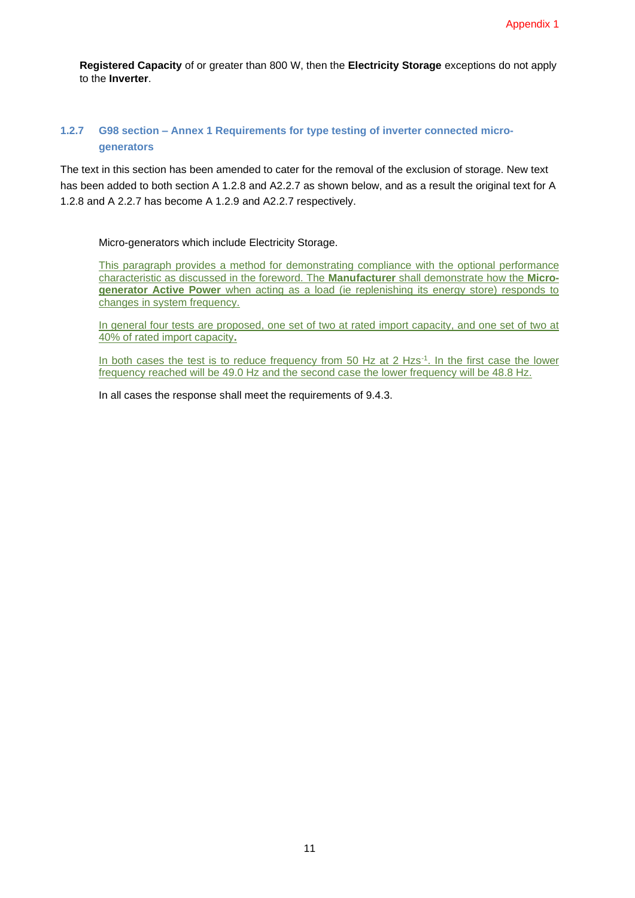**Registered Capacity** of or greater than 800 W, then the **Electricity Storage** exceptions do not apply to the **Inverter**.

#### **1.2.7 G98 section – Annex 1 Requirements for type testing of inverter connected microgenerators**

The text in this section has been amended to cater for the removal of the exclusion of storage. New text has been added to both section A 1.2.8 and A2.2.7 as shown below, and as a result the original text for A 1.2.8 and A 2.2.7 has become A 1.2.9 and A2.2.7 respectively.

Micro-generators which include Electricity Storage.

This paragraph provides a method for demonstrating compliance with the optional performance characteristic as discussed in the foreword. The **Manufacturer** shall demonstrate how the **Microgenerator Active Power** when acting as a load (ie replenishing its energy store) responds to changes in system frequency.

In general four tests are proposed, one set of two at rated import capacity, and one set of two at 40% of rated import capacity**.**

In both cases the test is to reduce frequency from 50 Hz at 2 Hzs<sup>-1</sup>. In the first case the lower frequency reached will be 49.0 Hz and the second case the lower frequency will be 48.8 Hz.

In all cases the response shall meet the requirements of 9.4.3.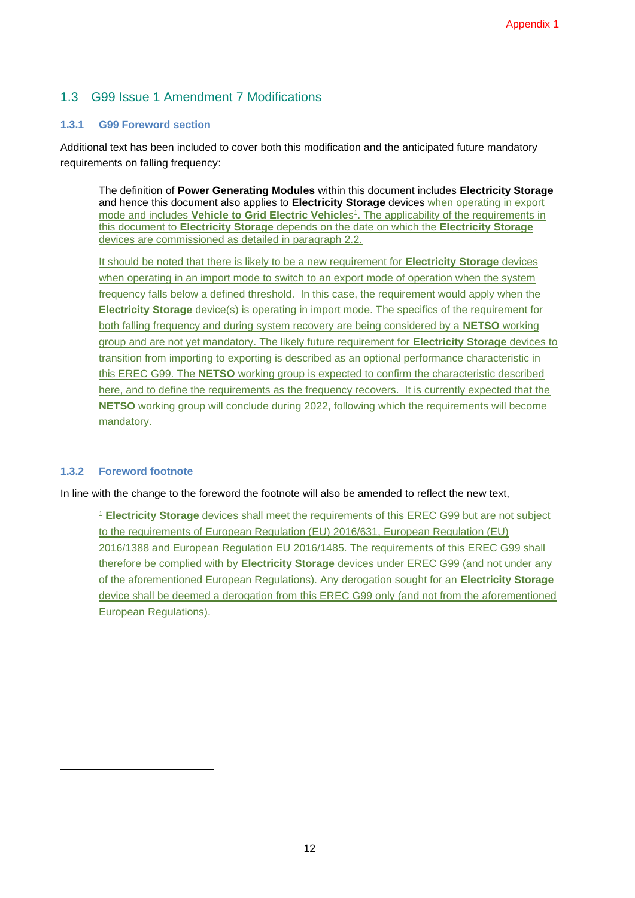### 1.3 G99 Issue 1 Amendment 7 Modifications

#### **1.3.1 G99 Foreword section**

Additional text has been included to cover both this modification and the anticipated future mandatory requirements on falling frequency:

The definition of **Power Generating Modules** within this document includes **Electricity Storage** and hence this document also applies to **Electricity Storage** devices when operating in export mode and includes **Vehicle to Grid Electric Vehicle**s 1 . The applicability of the requirements in this document to **Electricity Storage** depends on the date on which the **Electricity Storage** devices are commissioned as detailed in paragraph 2.2.

It should be noted that there is likely to be a new requirement for **Electricity Storage** devices when operating in an import mode to switch to an export mode of operation when the system frequency falls below a defined threshold. In this case, the requirement would apply when the **Electricity Storage** device(s) is operating in import mode. The specifics of the requirement for both falling frequency and during system recovery are being considered by a **NETSO** working group and are not yet mandatory. The likely future requirement for **Electricity Storage** devices to transition from importing to exporting is described as an optional performance characteristic in this EREC G99. The **NETSO** working group is expected to confirm the characteristic described here, and to define the requirements as the frequency recovers. It is currently expected that the **NETSO** working group will conclude during 2022, following which the requirements will become mandatory.

#### **1.3.2 Foreword footnote**

In line with the change to the foreword the footnote will also be amended to reflect the new text,

<sup>1</sup> **Electricity Storage** devices shall meet the requirements of this EREC G99 but are not subject to the requirements of European Regulation (EU) 2016/631, European Regulation (EU) 2016/1388 and European Regulation EU 2016/1485. The requirements of this EREC G99 shall therefore be complied with by **Electricity Storage** devices under EREC G99 (and not under any of the aforementioned European Regulations). Any derogation sought for an **Electricity Storage**  device shall be deemed a derogation from this EREC G99 only (and not from the aforementioned European Regulations).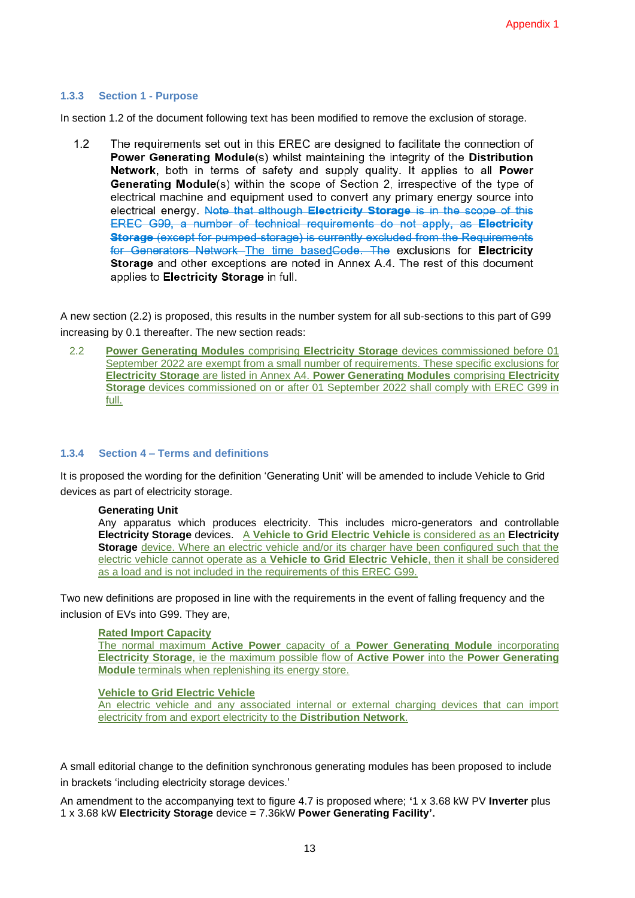#### **1.3.3 Section 1 - Purpose**

In section 1.2 of the document following text has been modified to remove the exclusion of storage.

 $1.2$ The requirements set out in this EREC are designed to facilitate the connection of Power Generating Module(s) whilst maintaining the integrity of the Distribution Network, both in terms of safety and supply quality. It applies to all Power Generating Module(s) within the scope of Section 2, irrespective of the type of electrical machine and equipment used to convert any primary energy source into electrical energy. Note that although Electricity Storage is in the scope of this EREC G99, a number of technical requirements do not apply, as Electricity Storage (except for pumped-storage) is currently excluded from the Requirements for Generators Network-The time based Code. The exclusions for Electricity Storage and other exceptions are noted in Annex A.4. The rest of this document applies to Electricity Storage in full.

A new section (2.2) is proposed, this results in the number system for all sub-sections to this part of G99 increasing by 0.1 thereafter. The new section reads:

2.2 **Power Generating Modules** comprising **Electricity Storage** devices commissioned before 01 September 2022 are exempt from a small number of requirements. These specific exclusions for **Electricity Storage** are listed in Annex A4. **Power Generating Modules** comprising **Electricity Storage** devices commissioned on or after 01 September 2022 shall comply with EREC G99 in full.

#### **1.3.4 Section 4 – Terms and definitions**

It is proposed the wording for the definition 'Generating Unit' will be amended to include Vehicle to Grid devices as part of electricity storage.

#### **Generating Unit**

Any apparatus which produces electricity. This includes micro-generators and controllable **Electricity Storage** devices. A **Vehicle to Grid Electric Vehicle** is considered as an **Electricity Storage** device. Where an electric vehicle and/or its charger have been configured such that the electric vehicle cannot operate as a **Vehicle to Grid Electric Vehicle**, then it shall be considered as a load and is not included in the requirements of this EREC G99.

Two new definitions are proposed in line with the requirements in the event of falling frequency and the inclusion of EVs into G99. They are,

#### **Rated Import Capacity**

The normal maximum **Active Power** capacity of a **Power Generating Module** incorporating **Electricity Storage**, ie the maximum possible flow of **Active Power** into the **Power Generating Module** terminals when replenishing its energy store.

#### **Vehicle to Grid Electric Vehicle**

An electric vehicle and any associated internal or external charging devices that can import electricity from and export electricity to the **Distribution Network**.

A small editorial change to the definition synchronous generating modules has been proposed to include in brackets 'including electricity storage devices.'

An amendment to the accompanying text to figure 4.7 is proposed where; **'**1 x 3.68 kW PV **Inverter** plus 1 x 3.68 kW **Electricity Storage** device = 7.36kW **Power Generating Facility'.**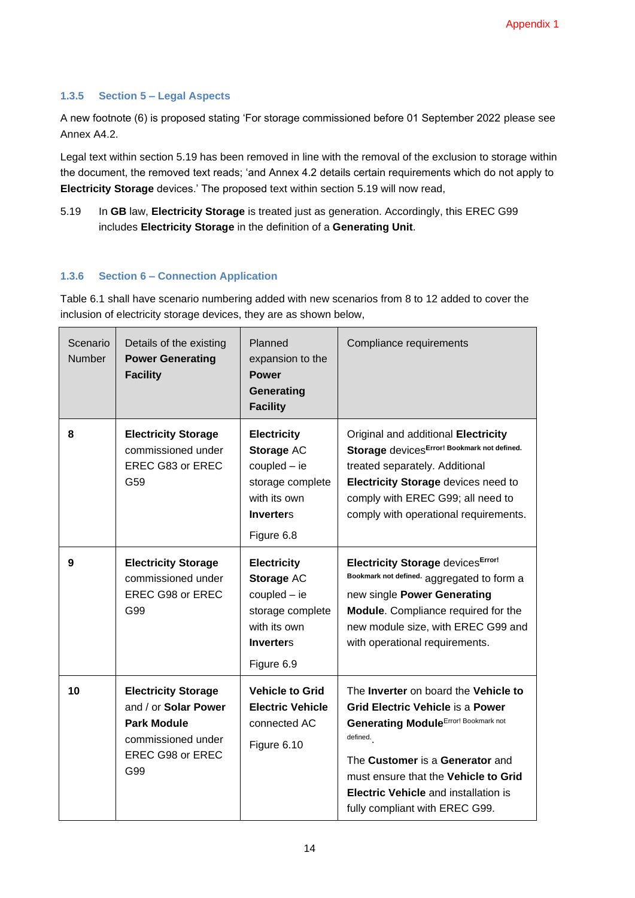#### **1.3.5 Section 5 – Legal Aspects**

A new footnote (6) is proposed stating 'For storage commissioned before 01 September 2022 please see Annex A4.2.

Legal text within section 5.19 has been removed in line with the removal of the exclusion to storage within the document, the removed text reads; 'and Annex 4.2 details certain requirements which do not apply to **Electricity Storage** devices.' The proposed text within section 5.19 will now read,

5.19 In **GB** law, **Electricity Storage** is treated just as generation. Accordingly, this EREC G99 includes **Electricity Storage** in the definition of a **Generating Unit**.

#### **1.3.6 Section 6 – Connection Application**

Table 6.1 shall have scenario numbering added with new scenarios from 8 to 12 added to cover the inclusion of electricity storage devices, they are as shown below,

| Scenario<br>Number | Details of the existing<br><b>Power Generating</b><br><b>Facility</b>                                                     | Planned<br>expansion to the<br><b>Power</b><br>Generating<br><b>Facility</b>                                             | Compliance requirements                                                                                                                                                                                                                                                                                 |
|--------------------|---------------------------------------------------------------------------------------------------------------------------|--------------------------------------------------------------------------------------------------------------------------|---------------------------------------------------------------------------------------------------------------------------------------------------------------------------------------------------------------------------------------------------------------------------------------------------------|
| 8                  | <b>Electricity Storage</b><br>commissioned under<br>EREC G83 or EREC<br>G59                                               | <b>Electricity</b><br>Storage AC<br>$coupled - ie$<br>storage complete<br>with its own<br><b>Inverters</b><br>Figure 6.8 | Original and additional Electricity<br>Storage devicesError! Bookmark not defined.<br>treated separately. Additional<br>Electricity Storage devices need to<br>comply with EREC G99; all need to<br>comply with operational requirements.                                                               |
| 9                  | <b>Electricity Storage</b><br>commissioned under<br>EREC G98 or EREC<br>G99                                               | <b>Electricity</b><br>Storage AC<br>$coupled - ie$<br>storage complete<br>with its own<br><b>Inverters</b><br>Figure 6.9 | <b>Electricity Storage devices Error!</b><br>Bookmark not defined. aggregated to form a<br>new single Power Generating<br>Module. Compliance required for the<br>new module size, with EREC G99 and<br>with operational requirements.                                                                   |
| 10                 | <b>Electricity Storage</b><br>and / or Solar Power<br><b>Park Module</b><br>commissioned under<br>EREC G98 or EREC<br>G99 | <b>Vehicle to Grid</b><br><b>Electric Vehicle</b><br>connected AC<br>Figure 6.10                                         | The Inverter on board the Vehicle to<br><b>Grid Electric Vehicle is a Power</b><br><b>Generating Module Error! Bookmark not</b><br>defined.<br>The Customer is a Generator and<br>must ensure that the Vehicle to Grid<br><b>Electric Vehicle and installation is</b><br>fully compliant with EREC G99. |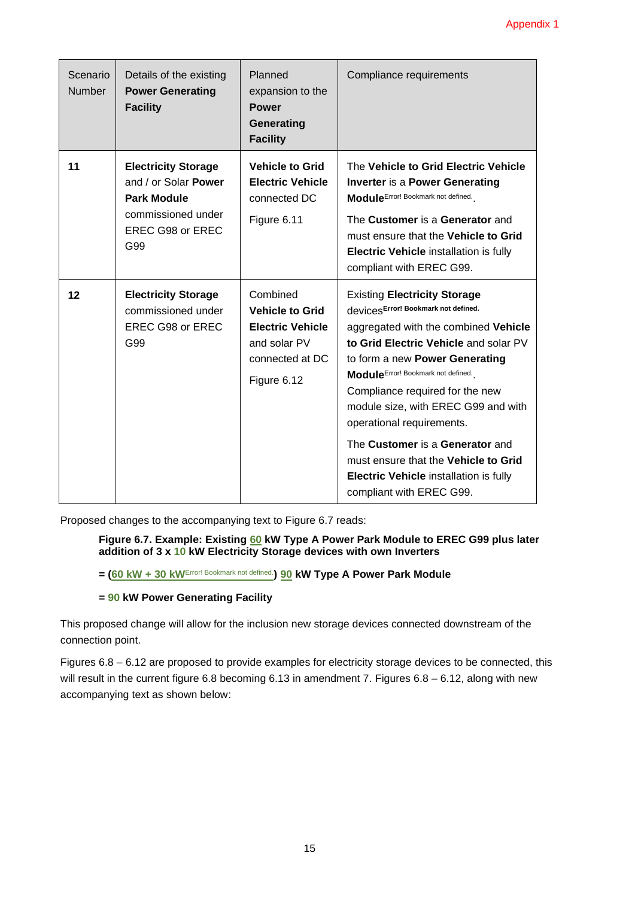| Scenario<br><b>Number</b> | Details of the existing<br><b>Power Generating</b><br><b>Facility</b>                                                     | Planned<br>expansion to the<br><b>Power</b><br>Generating<br><b>Facility</b>                                    | Compliance requirements                                                                                                                                                                                                                                                                                                                                                                                                                                                                      |
|---------------------------|---------------------------------------------------------------------------------------------------------------------------|-----------------------------------------------------------------------------------------------------------------|----------------------------------------------------------------------------------------------------------------------------------------------------------------------------------------------------------------------------------------------------------------------------------------------------------------------------------------------------------------------------------------------------------------------------------------------------------------------------------------------|
| 11                        | <b>Electricity Storage</b><br>and / or Solar Power<br><b>Park Module</b><br>commissioned under<br>EREC G98 or EREC<br>G99 | <b>Vehicle to Grid</b><br><b>Electric Vehicle</b><br>connected DC<br>Figure 6.11                                | The Vehicle to Grid Electric Vehicle<br><b>Inverter is a Power Generating</b><br>ModuleError! Bookmark not defined.<br>The Customer is a Generator and<br>must ensure that the Vehicle to Grid<br>Electric Vehicle installation is fully<br>compliant with EREC G99.                                                                                                                                                                                                                         |
| 12                        | <b>Electricity Storage</b><br>commissioned under<br><b>EREC G98 or EREC</b><br>G99                                        | Combined<br><b>Vehicle to Grid</b><br><b>Electric Vehicle</b><br>and solar PV<br>connected at DC<br>Figure 6.12 | <b>Existing Electricity Storage</b><br>devicesError! Bookmark not defined.<br>aggregated with the combined Vehicle<br>to Grid Electric Vehicle and solar PV<br>to form a new Power Generating<br>Module Error! Bookmark not defined.<br>Compliance required for the new<br>module size, with EREC G99 and with<br>operational requirements.<br>The Customer is a Generator and<br>must ensure that the Vehicle to Grid<br>Electric Vehicle installation is fully<br>compliant with EREC G99. |

Proposed changes to the accompanying text to Figure 6.7 reads:

**Figure 6.7. Example: Existing 60 kW Type A Power Park Module to EREC G99 plus later addition of 3 x 10 kW Electricity Storage devices with own Inverters**

**= (60 kW + 30 kW**Error! Bookmark not defined.**) 90 kW Type A Power Park Module** 

#### **= 90 kW Power Generating Facility**

This proposed change will allow for the inclusion new storage devices connected downstream of the connection point.

Figures 6.8 – 6.12 are proposed to provide examples for electricity storage devices to be connected, this will result in the current figure 6.8 becoming 6.13 in amendment 7. Figures 6.8 – 6.12, along with new accompanying text as shown below: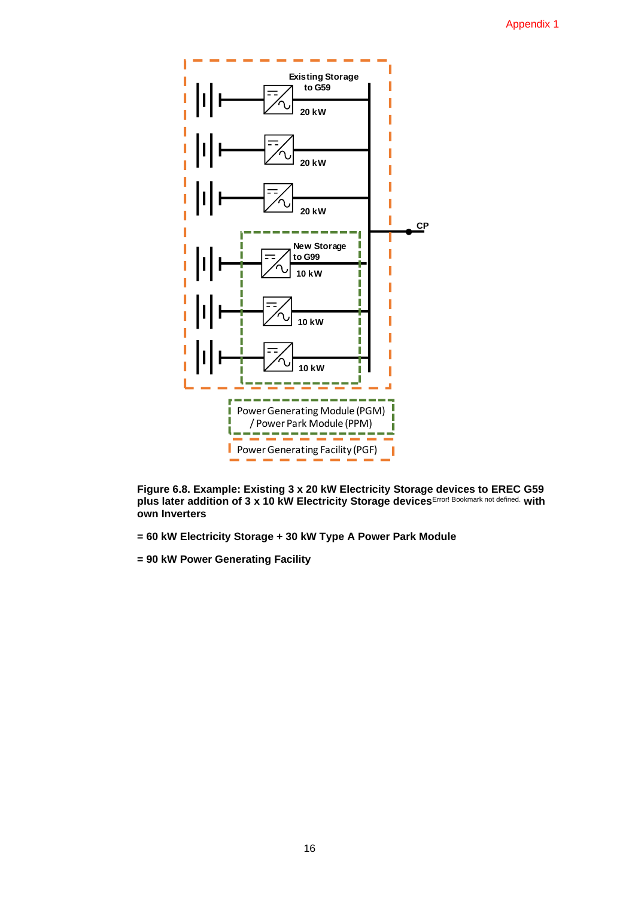

**Figure 6.8. Example: Existing 3 x 20 kW Electricity Storage devices to EREC G59 plus later addition of 3 x 10 kW Electricity Storage devices**Error! Bookmark not defined. **with own Inverters**

- **= 60 kW Electricity Storage + 30 kW Type A Power Park Module**
- **= 90 kW Power Generating Facility**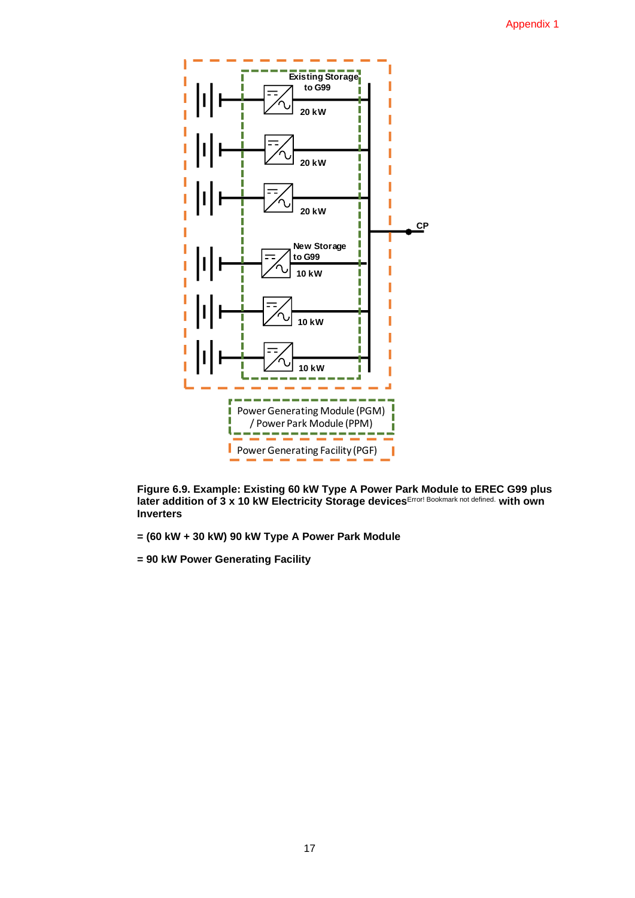

**Figure 6.9. Example: Existing 60 kW Type A Power Park Module to EREC G99 plus later addition of 3 x 10 kW Electricity Storage devices**Error! Bookmark not defined. **with own Inverters**

- **= (60 kW + 30 kW) 90 kW Type A Power Park Module**
- **= 90 kW Power Generating Facility**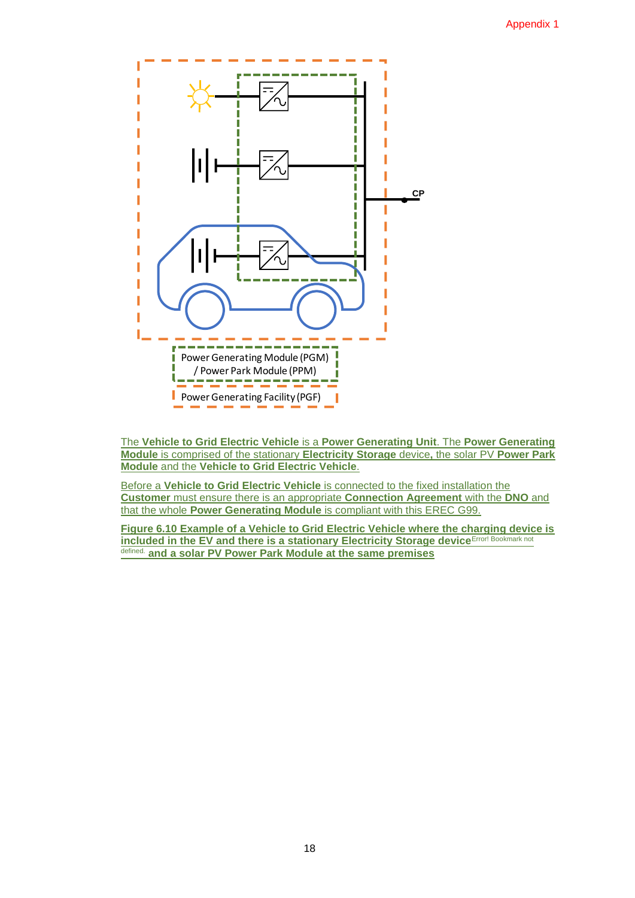

The **Vehicle to Grid Electric Vehicle** is a **Power Generating Unit**. The **Power Generating Module** is comprised of the stationary **Electricity Storage** device**,** the solar PV **Power Park Module** and the **Vehicle to Grid Electric Vehicle**.

Before a **Vehicle to Grid Electric Vehicle** is connected to the fixed installation the **Customer** must ensure there is an appropriate **Connection Agreement** with the **DNO** and that the whole **Power Generating Module** is compliant with this EREC G99.

**Figure 6.10 Example of a Vehicle to Grid Electric Vehicle where the charging device is included in the EV and there is a stationary Electricity Storage device**Error! Bookmark not defined. **and a solar PV Power Park Module at the same premises**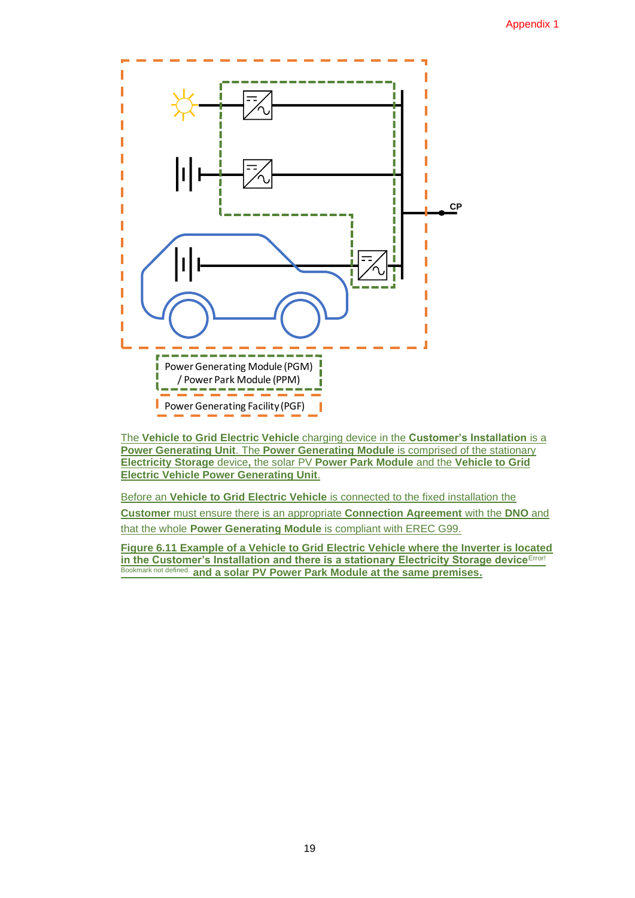

The **Vehicle to Grid Electric Vehicle** charging device in the **Customer's Installation** is a **Power Generating Unit.** The **Power Generating Module** is comprised of the stationary **Electricity Storage** device**,** the solar PV **Power Park Module** and the **Vehicle to Grid Electric Vehicle Power Generating Unit**.

Before an **Vehicle to Grid Electric Vehicle** is connected to the fixed installation the **Customer** must ensure there is an appropriate **Connection Agreement** with the **DNO** and that the whole **Power Generating Module** is compliant with EREC G99.

**Figure 6.11 Example of a Vehicle to Grid Electric Vehicle where the Inverter is located in the Customer's Installation and there is a stationary Electricity Storage device Error!** Bookmark not defined. **and a solar PV Power Park Module at the same premises.**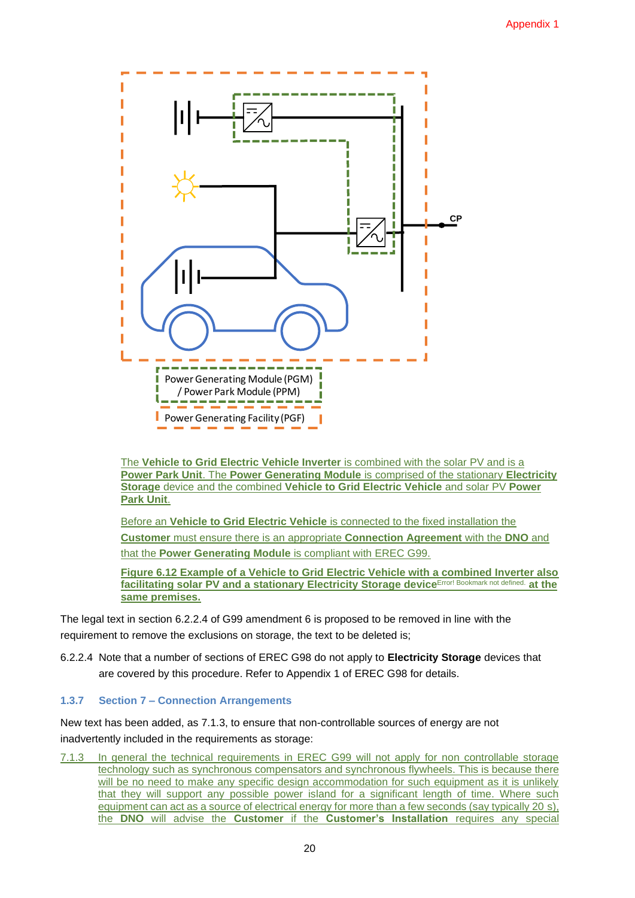

The **Vehicle to Grid Electric Vehicle Inverter** is combined with the solar PV and is a **Power Park Unit**. The **Power Generating Module** is comprised of the stationary **Electricity Storage** device and the combined **Vehicle to Grid Electric Vehicle** and solar PV **Power Park Unit**.

Before an **Vehicle to Grid Electric Vehicle** is connected to the fixed installation the **Customer** must ensure there is an appropriate **Connection Agreement** with the **DNO** and that the **Power Generating Module** is compliant with EREC G99.

**Figure 6.12 Example of a Vehicle to Grid Electric Vehicle with a combined Inverter also facilitating solar PV and a stationary Electricity Storage device**Error! Bookmark not defined. **at the same premises.** 

The legal text in section 6.2.2.4 of G99 amendment 6 is proposed to be removed in line with the requirement to remove the exclusions on storage, the text to be deleted is;

6.2.2.4 Note that a number of sections of EREC G98 do not apply to **Electricity Storage** devices that are covered by this procedure. Refer to Appendix 1 of EREC G98 for details.

#### **1.3.7 Section 7 – Connection Arrangements**

New text has been added, as 7.1.3, to ensure that non-controllable sources of energy are not inadvertently included in the requirements as storage:

7.1.3 In general the technical requirements in EREC G99 will not apply for non controllable storage technology such as synchronous compensators and synchronous flywheels. This is because there will be no need to make any specific design accommodation for such equipment as it is unlikely that they will support any possible power island for a significant length of time. Where such equipment can act as a source of electrical energy for more than a few seconds (say typically 20 s), the **DNO** will advise the **Customer** if the **Customer's Installation** requires any special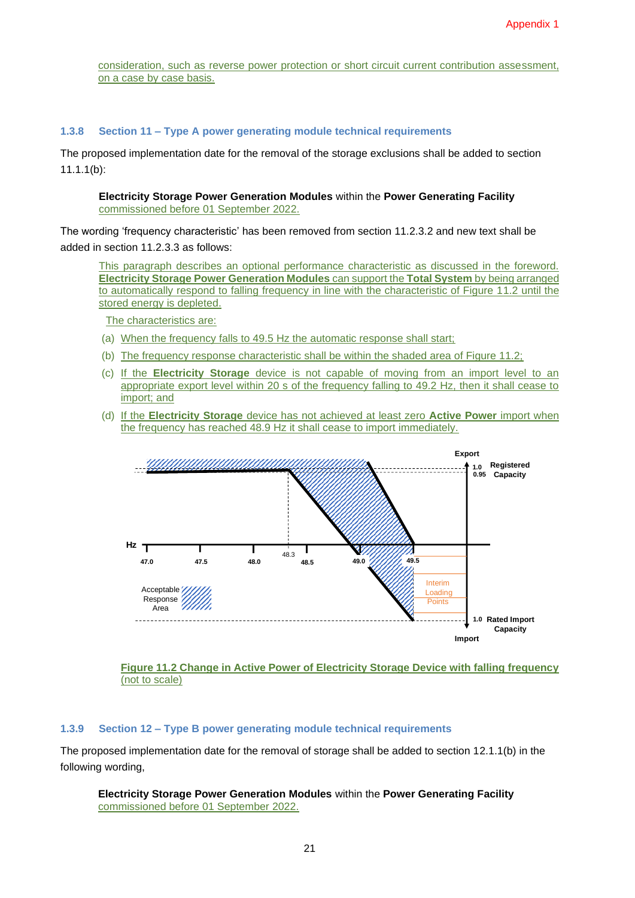consideration, such as reverse power protection or short circuit current contribution assessment, on a case by case basis.

#### **1.3.8 Section 11 – Type A power generating module technical requirements**

The proposed implementation date for the removal of the storage exclusions shall be added to section 11.1.1(b):

**Electricity Storage Power Generation Modules** within the **Power Generating Facility** commissioned before 01 September 2022.

The wording 'frequency characteristic' has been removed from section 11.2.3.2 and new text shall be added in section 11.2.3.3 as follows:

This paragraph describes an optional performance characteristic as discussed in the foreword. **Electricity Storage Power Generation Modules** can support the **Total System** by being arranged to automatically respond to falling frequency in line with the characteristic of Figure 11.2 until the stored energy is depleted.

The characteristics are:

- (a) When the frequency falls to 49.5 Hz the automatic response shall start;
- (b) The frequency response characteristic shall be within the shaded area of Figure 11.2;
- (c) If the **Electricity Storage** device is not capable of moving from an import level to an appropriate export level within 20 s of the frequency falling to 49.2 Hz, then it shall cease to import; and
- (d) If the **Electricity Storage** device has not achieved at least zero **Active Power** import when the frequency has reached 48.9 Hz it shall cease to import immediately.



#### **Figure 11.2 Change in Active Power of Electricity Storage Device with falling frequency**  (not to scale)

#### **1.3.9 Section 12 – Type B power generating module technical requirements**

The proposed implementation date for the removal of storage shall be added to section 12.1.1(b) in the following wording,

#### **Electricity Storage Power Generation Modules** within the **Power Generating Facility** commissioned before 01 September 2022.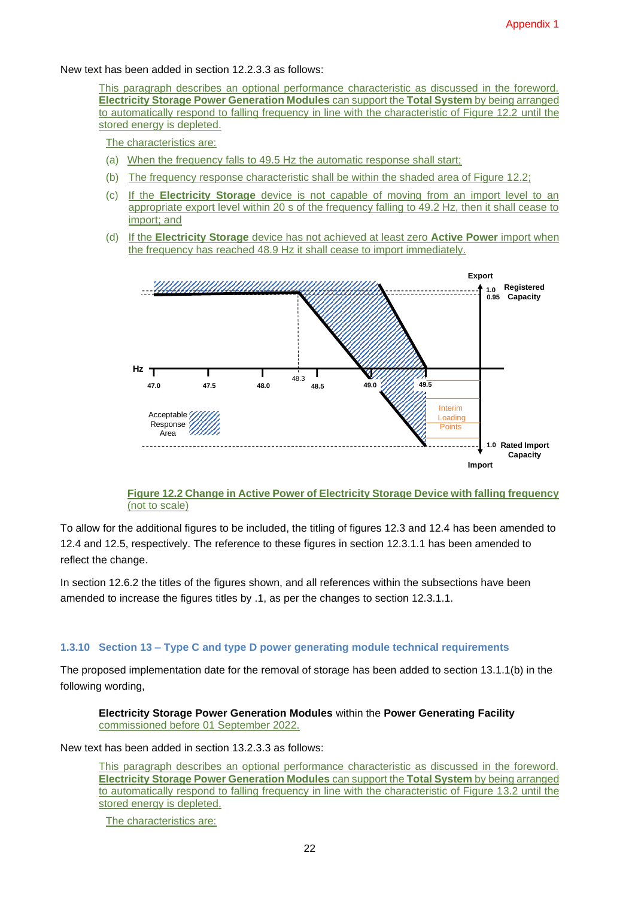New text has been added in section 12.2.3.3 as follows:

This paragraph describes an optional performance characteristic as discussed in the foreword. **Electricity Storage Power Generation Modules** can support the **Total System** by being arranged to automatically respond to falling frequency in line with the characteristic of Figure 12.2 until the stored energy is depleted.

The characteristics are:

- (a) When the frequency falls to 49.5 Hz the automatic response shall start;
- (b) The frequency response characteristic shall be within the shaded area of Figure 12.2;
- (c) If the **Electricity Storage** device is not capable of moving from an import level to an appropriate export level within 20 s of the frequency falling to 49.2 Hz, then it shall cease to import; and
- (d) If the **Electricity Storage** device has not achieved at least zero **Active Power** import when the frequency has reached 48.9 Hz it shall cease to import immediately.



#### **Figure 12.2 Change in Active Power of Electricity Storage Device with falling frequency**  (not to scale)

To allow for the additional figures to be included, the titling of figures 12.3 and 12.4 has been amended to 12.4 and 12.5, respectively. The reference to these figures in section 12.3.1.1 has been amended to reflect the change.

In section 12.6.2 the titles of the figures shown, and all references within the subsections have been amended to increase the figures titles by .1, as per the changes to section 12.3.1.1.

#### **1.3.10 Section 13 – Type C and type D power generating module technical requirements**

The proposed implementation date for the removal of storage has been added to section 13.1.1(b) in the following wording,

**Electricity Storage Power Generation Modules** within the **Power Generating Facility** commissioned before 01 September 2022.

New text has been added in section 13.2.3.3 as follows:

This paragraph describes an optional performance characteristic as discussed in the foreword. **Electricity Storage Power Generation Modules** can support the **Total System** by being arranged to automatically respond to falling frequency in line with the characteristic of Figure 13.2 until the stored energy is depleted.

The characteristics are: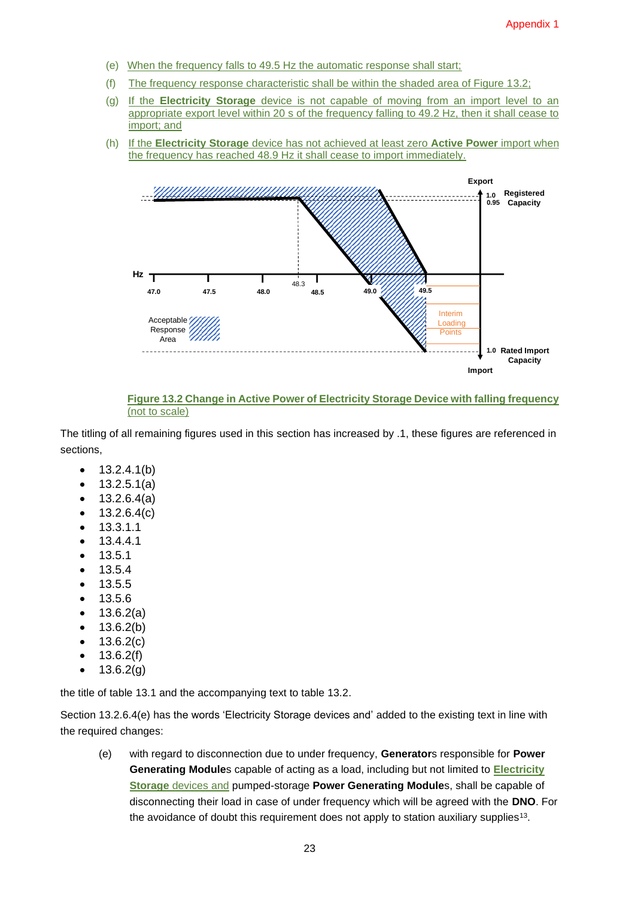- (e) When the frequency falls to 49.5 Hz the automatic response shall start;
- (f) The frequency response characteristic shall be within the shaded area of Figure 13.2;
- (g) If the **Electricity Storage** device is not capable of moving from an import level to an appropriate export level within 20 s of the frequency falling to 49.2 Hz, then it shall cease to import; and
- (h) If the **Electricity Storage** device has not achieved at least zero **Active Power** import when the frequency has reached 48.9 Hz it shall cease to import immediately.



**Figure 13.2 Change in Active Power of Electricity Storage Device with falling frequency**  (not to scale)

The titling of all remaining figures used in this section has increased by .1, these figures are referenced in sections,

- $\bullet$  13.2.4.1(b)
- $13.2.5.1(a)$
- $13.2.6.4(a)$
- $\bullet$  13.2.6.4(c)
- 13.3.1.1
- 13.4.4.1
- 13.5.1
- 13.5.4
- 13.5.5
- 13.5.6
- 13.6.2(a)
- $13.6.2(b)$
- $13.6.2(c)$
- $13.6.2(f)$
- $13.6.2(g)$

the title of table 13.1 and the accompanying text to table 13.2.

Section 13.2.6.4(e) has the words 'Electricity Storage devices and' added to the existing text in line with the required changes:

(e) with regard to disconnection due to under frequency, **Generator**s responsible for **Power Generating Module**s capable of acting as a load, including but not limited to **Electricity Storage** devices and pumped-storage **Power Generating Module**s, shall be capable of disconnecting their load in case of under frequency which will be agreed with the **DNO**. For the avoidance of doubt this requirement does not apply to station auxiliary supplies<sup>13</sup>.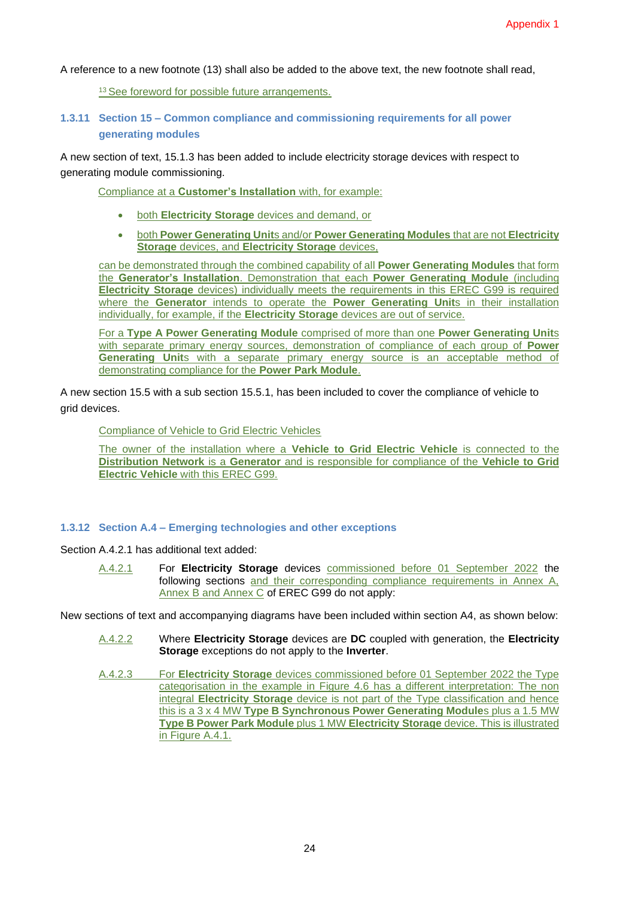A reference to a new footnote (13) shall also be added to the above text, the new footnote shall read,

<sup>13</sup> See foreword for possible future arrangements.

#### **1.3.11 Section 15 – Common compliance and commissioning requirements for all power generating modules**

A new section of text, 15.1.3 has been added to include electricity storage devices with respect to generating module commissioning.

Compliance at a **Customer's Installation** with, for example:

- both **Electricity Storage** devices and demand, or
- both **Power Generating Unit**s and/or **Power Generating Modules** that are not **Electricity Storage** devices, and **Electricity Storage** devices,

can be demonstrated through the combined capability of all **Power Generating Modules** that form the **Generator's Installation**. Demonstration that each **Power Generating Module** (including **Electricity Storage** devices) individually meets the requirements in this EREC G99 is required where the **Generator** intends to operate the **Power Generating Unit**s in their installation individually, for example, if the **Electricity Storage** devices are out of service.

For a **Type A Power Generating Module** comprised of more than one **Power Generating Unit**s with separate primary energy sources, demonstration of compliance of each group of **Power Generating Unit**s with a separate primary energy source is an acceptable method of demonstrating compliance for the **Power Park Module**.

A new section 15.5 with a sub section 15.5.1, has been included to cover the compliance of vehicle to grid devices.

Compliance of Vehicle to Grid Electric Vehicles

The owner of the installation where a **Vehicle to Grid Electric Vehicle** is connected to the **Distribution Network** is a **Generator** and is responsible for compliance of the **Vehicle to Grid Electric Vehicle** with this EREC G99.

#### **1.3.12 Section A.4 – Emerging technologies and other exceptions**

Section A.4.2.1 has additional text added:

A.4.2.1 For **Electricity Storage** devices commissioned before 01 September 2022 the following sections and their corresponding compliance requirements in Annex A, Annex B and Annex C of EREC G99 do not apply:

New sections of text and accompanying diagrams have been included within section A4, as shown below:

- A.4.2.2 Where **Electricity Storage** devices are **DC** coupled with generation, the **Electricity Storage** exceptions do not apply to the **Inverter**.
- A.4.2.3 For **Electricity Storage** devices commissioned before 01 September 2022 the Type categorisation in the example in Figure 4.6 has a different interpretation: The non integral **Electricity Storage** device is not part of the Type classification and hence this is a 3 x 4 MW **Type B Synchronous Power Generating Module**s plus a 1.5 MW **Type B Power Park Module** plus 1 MW **Electricity Storage** device. This is illustrated in Figure A.4.1.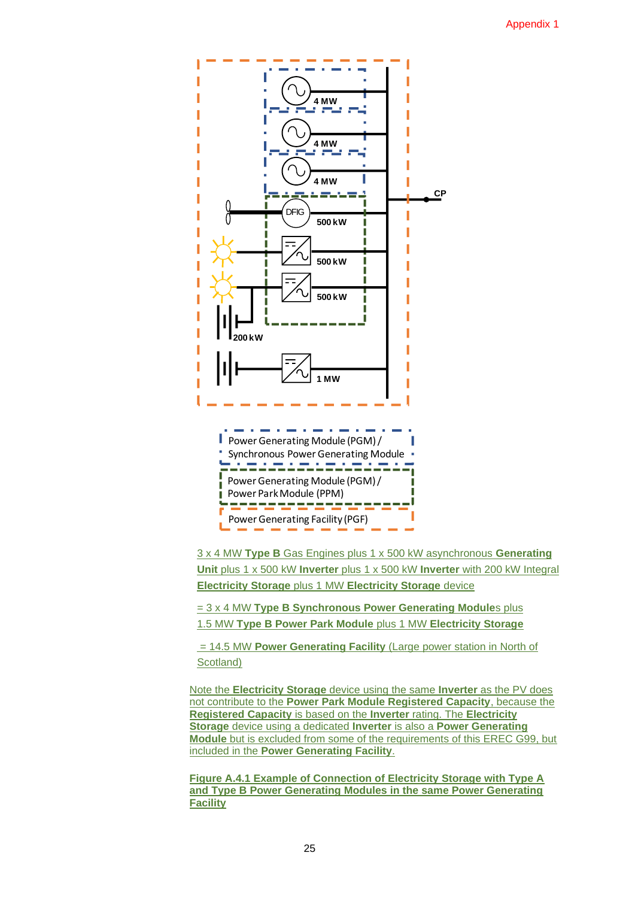

3 x 4 MW **Type B** Gas Engines plus 1 x 500 kW asynchronous **Generating Unit** plus 1 x 500 kW **Inverter** plus 1 x 500 kW **Inverter** with 200 kW Integral **Electricity Storage** plus 1 MW **Electricity Storage** device

= 3 x 4 MW **Type B Synchronous Power Generating Module**s plus 1.5 MW **Type B Power Park Module** plus 1 MW **Electricity Storage**

= 14.5 MW **Power Generating Facility** (Large power station in North of Scotland)

Note the **Electricity Storage** device using the same **Inverter** as the PV does not contribute to the **Power Park Module Registered Capacity**, because the **Registered Capacity** is based on the **Inverter** rating. The **Electricity Storage** device using a dedicated **Inverter** is also a **Power Generating Module** but is excluded from some of the requirements of this EREC G99, but included in the **Power Generating Facility**.

**Figure A.4.1 Example of Connection of Electricity Storage with Type A and Type B Power Generating Modules in the same Power Generating Facility**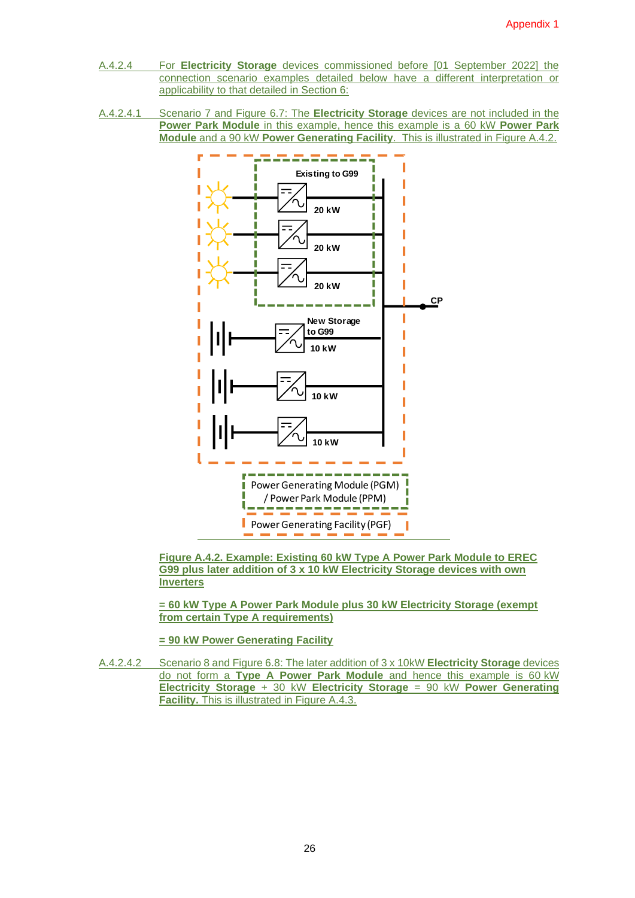- A.4.2.4 For **Electricity Storage** devices commissioned before [01 September 2022] the connection scenario examples detailed below have a different interpretation or applicability to that detailed in Section 6:
- A.4.2.4.1 Scenario 7 and Figure 6.7: The **Electricity Storage** devices are not included in the **Power Park Module** in this example, hence this example is a 60 kW **Power Park Module** and a 90 kW **Power Generating Facility**. This is illustrated in Figure A.4.2.



**Figure A.4.2. Example: Existing 60 kW Type A Power Park Module to EREC G99 plus later addition of 3 x 10 kW Electricity Storage devices with own Inverters**

**= 60 kW Type A Power Park Module plus 30 kW Electricity Storage (exempt from certain Type A requirements)**

**= 90 kW Power Generating Facility**

A.4.2.4.2 Scenario 8 and Figure 6.8: The later addition of 3 x 10kW **Electricity Storage** devices do not form a **Type A Power Park Module** and hence this example is 60 kW **Electricity Storage** + 30 kW **Electricity Storage** = 90 kW **Power Generating Facility.** This is illustrated in Figure A.4.3.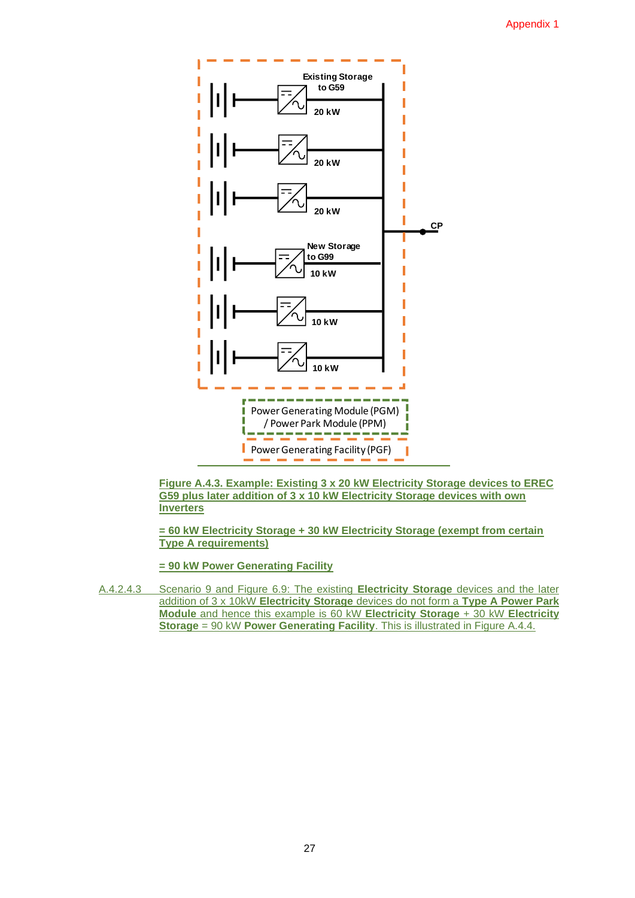

**Figure A.4.3. Example: Existing 3 x 20 kW Electricity Storage devices to EREC G59 plus later addition of 3 x 10 kW Electricity Storage devices with own Inverters**

**= 60 kW Electricity Storage + 30 kW Electricity Storage (exempt from certain Type A requirements)**

**= 90 kW Power Generating Facility**

A.4.2.4.3 Scenario 9 and Figure 6.9: The existing **Electricity Storage** devices and the later addition of 3 x 10kW **Electricity Storage** devices do not form a **Type A Power Park Module** and hence this example is 60 kW **Electricity Storage** + 30 kW **Electricity Storage** = 90 kW **Power Generating Facility**. This is illustrated in Figure A.4.4.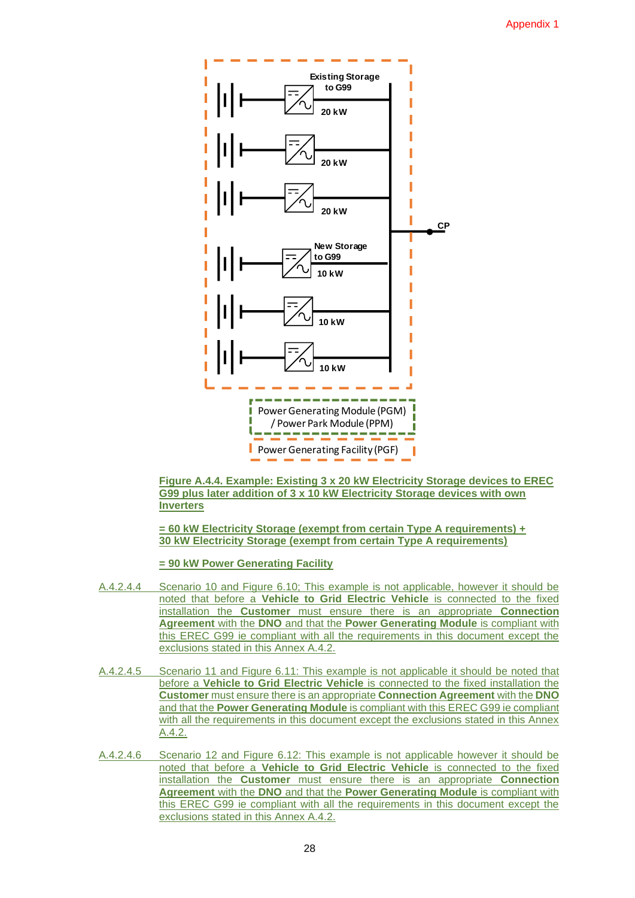

**Figure A.4.4. Example: Existing 3 x 20 kW Electricity Storage devices to EREC G99 plus later addition of 3 x 10 kW Electricity Storage devices with own Inverters**

**= 60 kW Electricity Storage (exempt from certain Type A requirements) + 30 kW Electricity Storage (exempt from certain Type A requirements)**

**= 90 kW Power Generating Facility**

- A.4.2.4.4 Scenario 10 and Figure 6.10; This example is not applicable, however it should be noted that before a **Vehicle to Grid Electric Vehicle** is connected to the fixed installation the **Customer** must ensure there is an appropriate **Connection Agreement** with the **DNO** and that the **Power Generating Module** is compliant with this EREC G99 ie compliant with all the requirements in this document except the exclusions stated in this Annex A.4.2.
- A.4.2.4.5 Scenario 11 and Figure 6.11: This example is not applicable it should be noted that before a **Vehicle to Grid Electric Vehicle** is connected to the fixed installation the **Customer** must ensure there is an appropriate **Connection Agreement** with the **DNO** and that the **Power Generating Module** is compliant with this EREC G99 ie compliant with all the requirements in this document except the exclusions stated in this Annex A.4.2.
- A.4.2.4.6 Scenario 12 and Figure 6.12: This example is not applicable however it should be noted that before a **Vehicle to Grid Electric Vehicle** is connected to the fixed installation the **Customer** must ensure there is an appropriate **Connection Agreement** with the **DNO** and that the **Power Generating Module** is compliant with this EREC G99 ie compliant with all the requirements in this document except the exclusions stated in this Annex A.4.2.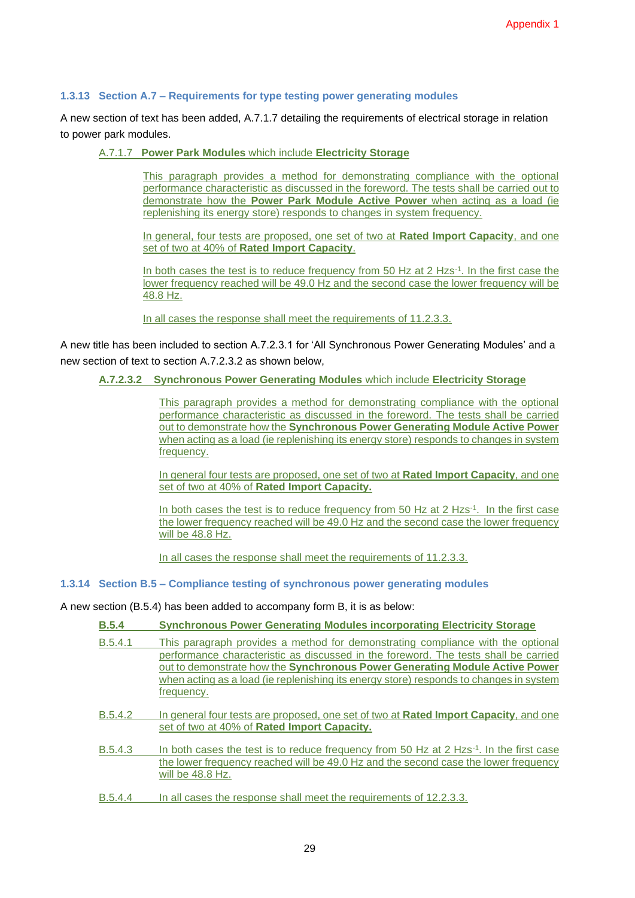#### **1.3.13 Section A.7 – Requirements for type testing power generating modules**

A new section of text has been added, A.7.1.7 detailing the requirements of electrical storage in relation to power park modules.

#### A.7.1.7 **Power Park Modules** which include **Electricity Storage**

This paragraph provides a method for demonstrating compliance with the optional performance characteristic as discussed in the foreword. The tests shall be carried out to demonstrate how the **Power Park Module Active Power** when acting as a load (ie replenishing its energy store) responds to changes in system frequency.

In general, four tests are proposed, one set of two at **Rated Import Capacity**, and one set of two at 40% of **Rated Import Capacity**.

In both cases the test is to reduce frequency from 50 Hz at 2 Hzs<sup>-1</sup>. In the first case the lower frequency reached will be 49.0 Hz and the second case the lower frequency will be 48.8 Hz.

In all cases the response shall meet the requirements of 11.2.3.3.

A new title has been included to section A.7.2.3.1 for 'All Synchronous Power Generating Modules' and a new section of text to section A.7.2.3.2 as shown below,

#### **A.7.2.3.2 Synchronous Power Generating Modules** which include **Electricity Storage**

This paragraph provides a method for demonstrating compliance with the optional performance characteristic as discussed in the foreword. The tests shall be carried out to demonstrate how the **Synchronous Power Generating Module Active Power** when acting as a load (ie replenishing its energy store) responds to changes in system frequency.

In general four tests are proposed, one set of two at **Rated Import Capacity**, and one set of two at 40% of **Rated Import Capacity.**

In both cases the test is to reduce frequency from 50 Hz at 2 Hzs<sup>-1</sup>. In the first case the lower frequency reached will be 49.0 Hz and the second case the lower frequency will be 48.8 Hz.

In all cases the response shall meet the requirements of 11.2.3.3.

#### **1.3.14 Section B.5 – Compliance testing of synchronous power generating modules**

A new section (B.5.4) has been added to accompany form B, it is as below:

| B.5.4   | <b>Synchronous Power Generating Modules incorporating Electricity Storage</b>                                                                                                                                                                                                                                                                                        |
|---------|----------------------------------------------------------------------------------------------------------------------------------------------------------------------------------------------------------------------------------------------------------------------------------------------------------------------------------------------------------------------|
| B.5.4.1 | This paragraph provides a method for demonstrating compliance with the optional<br>performance characteristic as discussed in the foreword. The tests shall be carried<br>out to demonstrate how the <b>Synchronous Power Generating Module Active Power</b><br>when acting as a load (ie replenishing its energy store) responds to changes in system<br>frequency. |
| B.5.4.2 | In general four tests are proposed, one set of two at <b>Rated Import Capacity</b> , and one<br>set of two at 40% of Rated Import Capacity.                                                                                                                                                                                                                          |
| B.5.4.3 | In both cases the test is to reduce frequency from 50 Hz at 2 Hzs <sup>-1</sup> . In the first case<br>the lower frequency reached will be 49.0 Hz and the second case the lower frequency<br>will be $48.8$ Hz.                                                                                                                                                     |
| B.5.4.4 | In all cases the response shall meet the requirements of 12.2.3.3.                                                                                                                                                                                                                                                                                                   |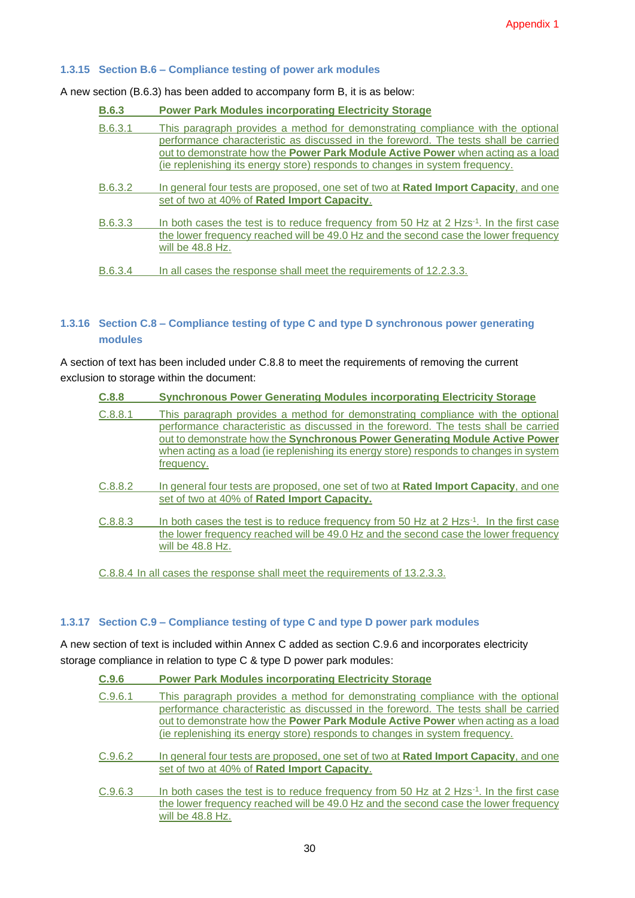#### **1.3.15 Section B.6 – Compliance testing of power ark modules**

A new section (B.6.3) has been added to accompany form B, it is as below:

| <b>B.6.3</b> | <b>Power Park Modules incorporating Electricity Storage</b>                                                                                                                                                                                                                                                                                     |
|--------------|-------------------------------------------------------------------------------------------------------------------------------------------------------------------------------------------------------------------------------------------------------------------------------------------------------------------------------------------------|
| B.6.3.1      | This paragraph provides a method for demonstrating compliance with the optional<br>performance characteristic as discussed in the foreword. The tests shall be carried<br>out to demonstrate how the <b>Power Park Module Active Power</b> when acting as a load<br>(ie replenishing its energy store) responds to changes in system frequency. |
| B.6.3.2      | In general four tests are proposed, one set of two at <b>Rated Import Capacity</b> , and one<br>set of two at 40% of Rated Import Capacity.                                                                                                                                                                                                     |
| B.6.3.3      | In both cases the test is to reduce frequency from 50 Hz at 2 Hzs <sup>-1</sup> . In the first case<br>the lower frequency reached will be 49.0 Hz and the second case the lower frequency<br>will be $48.8$ Hz.                                                                                                                                |
| B.6.3.4      | In all cases the response shall meet the requirements of 12.2.3.3.                                                                                                                                                                                                                                                                              |

#### **1.3.16 Section C.8 – Compliance testing of type C and type D synchronous power generating modules**

A section of text has been included under C.8.8 to meet the requirements of removing the current exclusion to storage within the document:

| C.8.8   | <b>Synchronous Power Generating Modules incorporating Electricity Storage</b>                                                                                                                                                                                                                                                                                 |
|---------|---------------------------------------------------------------------------------------------------------------------------------------------------------------------------------------------------------------------------------------------------------------------------------------------------------------------------------------------------------------|
| C.8.8.1 | This paragraph provides a method for demonstrating compliance with the optional<br>performance characteristic as discussed in the foreword. The tests shall be carried<br>out to demonstrate how the Synchronous Power Generating Module Active Power<br>when acting as a load (ie replenishing its energy store) responds to changes in system<br>frequency. |
| C.8.8.2 | In general four tests are proposed, one set of two at <b>Rated Import Capacity</b> , and one<br>set of two at 40% of Rated Import Capacity.                                                                                                                                                                                                                   |
| C.8.8.3 | In both cases the test is to reduce frequency from 50 Hz at $2$ Hzs <sup>-1</sup> . In the first case<br>the lower frequency reached will be 49.0 Hz and the second case the lower frequency<br>will be $48.8$ Hz.                                                                                                                                            |

C.8.8.4 In all cases the response shall meet the requirements of 13.2.3.3.

#### **1.3.17 Section C.9 – Compliance testing of type C and type D power park modules**

A new section of text is included within Annex C added as section C.9.6 and incorporates electricity storage compliance in relation to type C & type D power park modules:

| C.9.6   | <b>Power Park Modules incorporating Electricity Storage</b>                                                                                                            |
|---------|------------------------------------------------------------------------------------------------------------------------------------------------------------------------|
| C.9.6.1 | This paragraph provides a method for demonstrating compliance with the optional<br>performance characteristic as discussed in the foreword. The tests shall be carried |
|         | out to demonstrate how the Power Park Module Active Power when acting as a load                                                                                        |
|         | (ie replenishing its energy store) responds to changes in system frequency.                                                                                            |
| C.9.6.2 | In general four tests are proposed, one set of two at Rated Import Capacity, and one                                                                                   |
|         | set of two at 40% of Rated Import Capacity.                                                                                                                            |
| C.9.6.3 | In both cases the test is to reduce frequency from 50 Hz at $2$ Hzs <sup>-1</sup> . In the first case                                                                  |
|         | the lower frequency reached will be 49.0 Hz and the second case the lower frequency                                                                                    |
|         | will be 48.8 Hz.                                                                                                                                                       |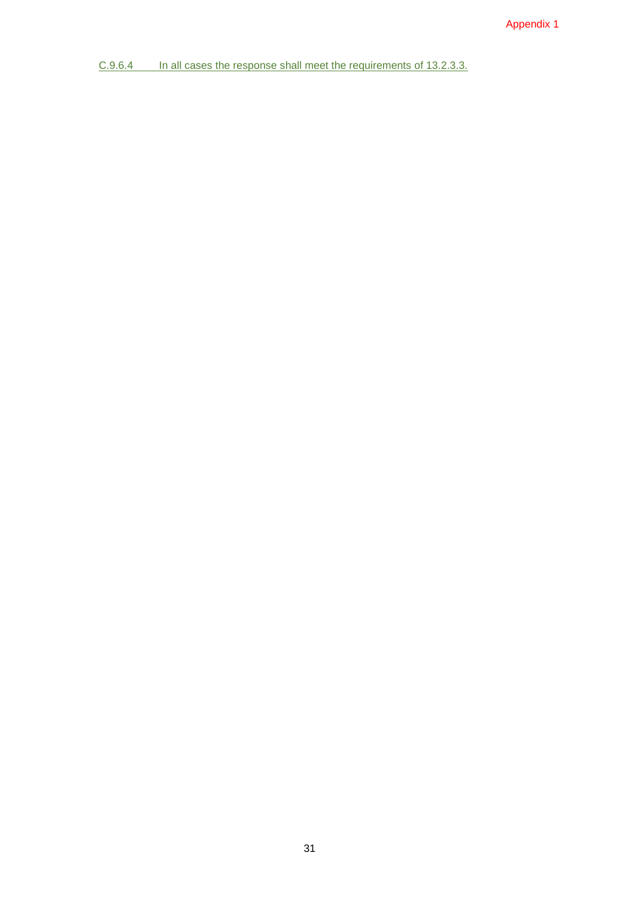C.9.6.4 In all cases the response shall meet the requirements of 13.2.3.3.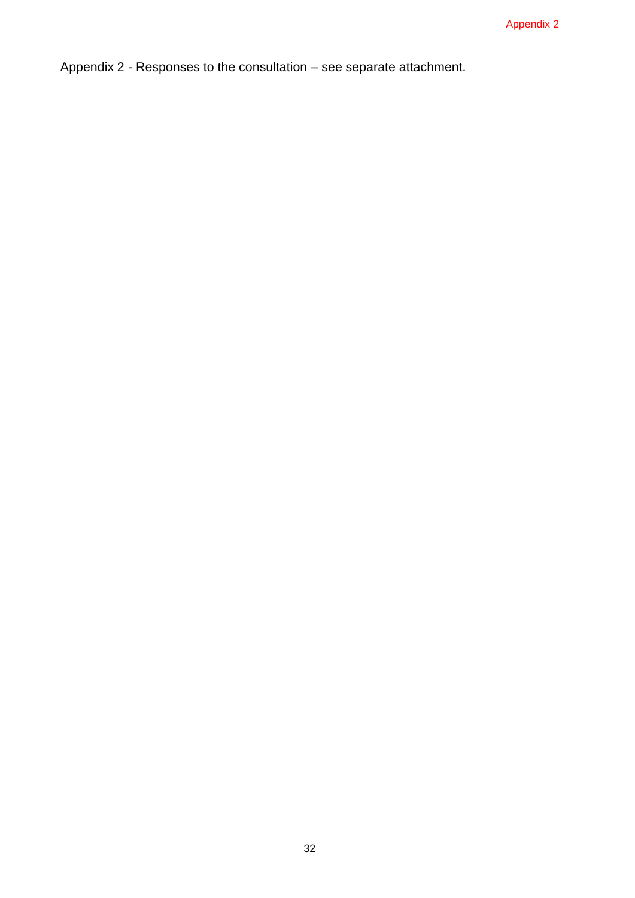Appendix 2 - Responses to the consultation – see separate attachment.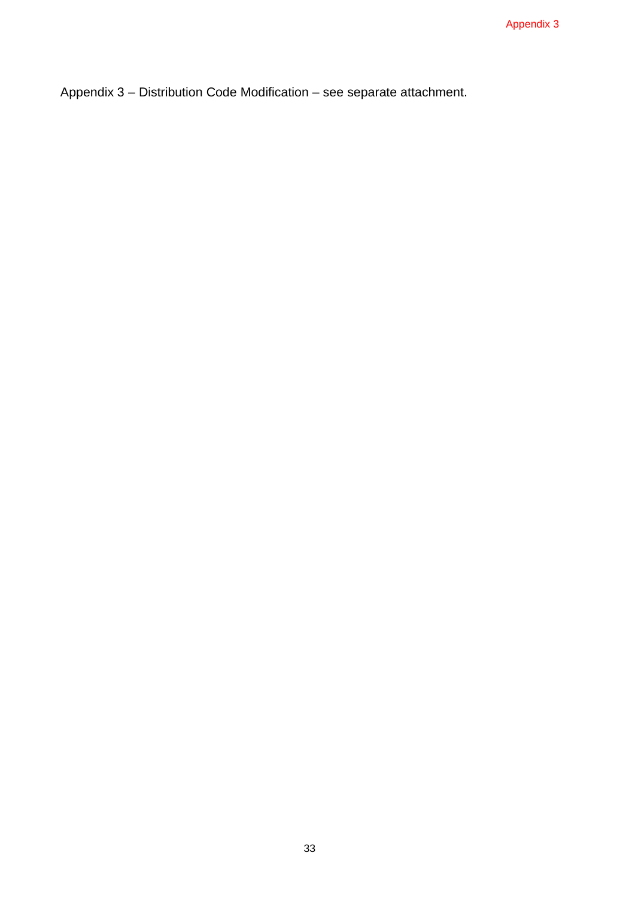Appendix 3 – Distribution Code Modification – see separate attachment.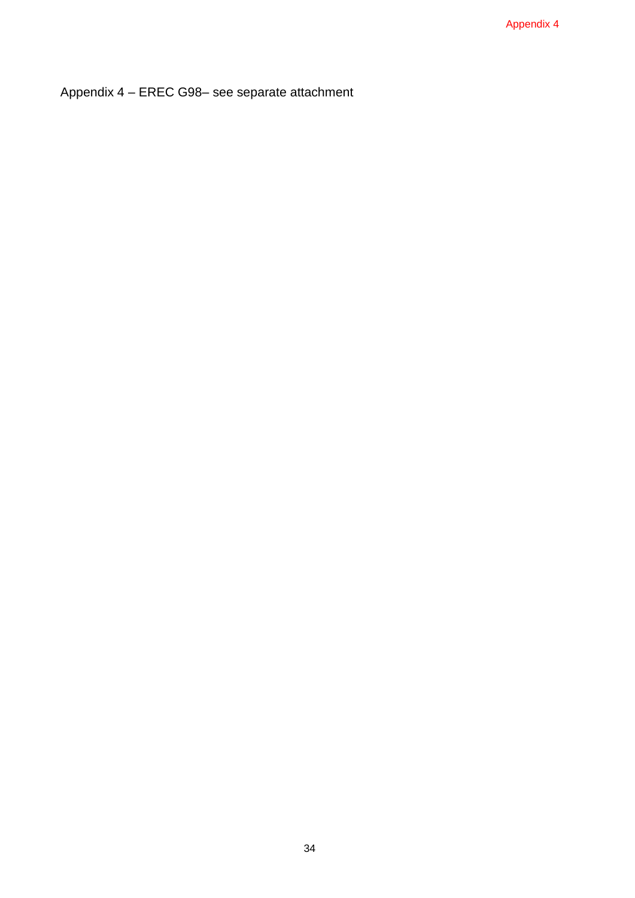Appendix 4 – EREC G98– see separate attachment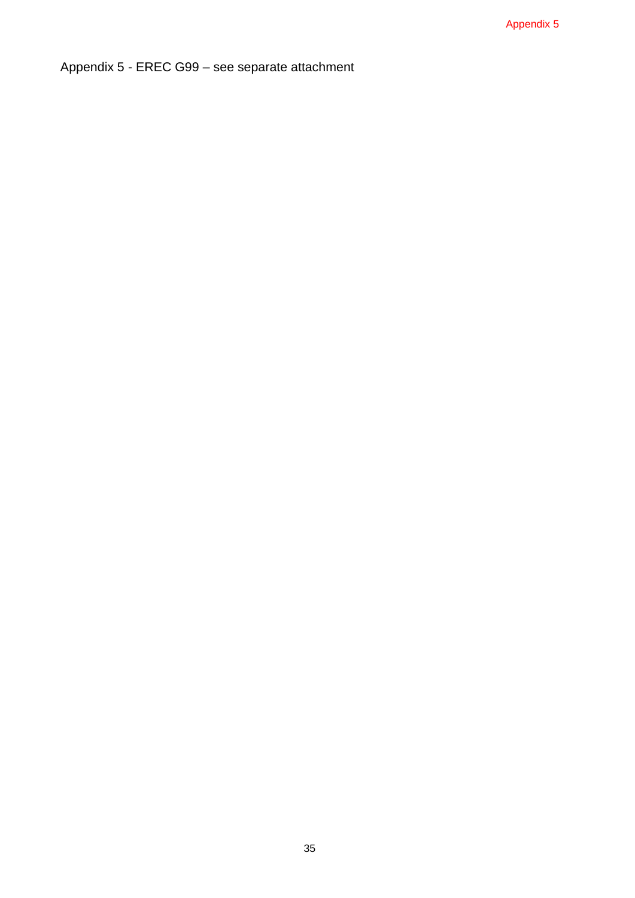Appendix 5 - EREC G99 – see separate attachment